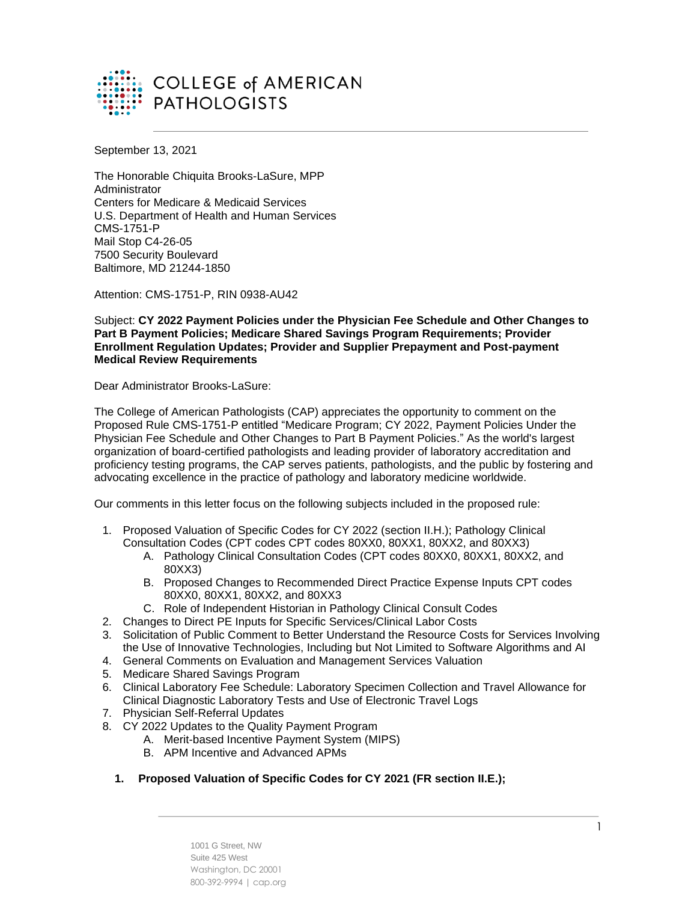

September 13, 2021

The Honorable Chiquita Brooks-LaSure, MPP Administrator Centers for Medicare & Medicaid Services U.S. Department of Health and Human Services CMS-1751-P Mail Stop C4-26-05 7500 Security Boulevard Baltimore, MD 21244-1850

Attention: CMS-1751-P, RIN 0938-AU42

Subject: **CY 2022 Payment Policies under the Physician Fee Schedule and Other Changes to Part B Payment Policies; Medicare Shared Savings Program Requirements; Provider Enrollment Regulation Updates; Provider and Supplier Prepayment and Post-payment Medical Review Requirements**

Dear Administrator Brooks-LaSure:

The College of American Pathologists (CAP) appreciates the opportunity to comment on the Proposed Rule CMS-1751-P entitled "Medicare Program; CY 2022, Payment Policies Under the Physician Fee Schedule and Other Changes to Part B Payment Policies." As the world's largest organization of board-certified pathologists and leading provider of laboratory accreditation and proficiency testing programs, the CAP serves patients, pathologists, and the public by fostering and advocating excellence in the practice of pathology and laboratory medicine worldwide.

Our comments in this letter focus on the following subjects included in the proposed rule:

- 1. Proposed Valuation of Specific Codes for CY 2022 (section II.H.); Pathology Clinical Consultation Codes (CPT codes CPT codes 80XX0, 80XX1, 80XX2, and 80XX3)
	- A. Pathology Clinical Consultation Codes (CPT codes 80XX0, 80XX1, 80XX2, and 80XX3)
	- B. Proposed Changes to Recommended Direct Practice Expense Inputs CPT codes 80XX0, 80XX1, 80XX2, and 80XX3
	- C. Role of Independent Historian in Pathology Clinical Consult Codes
- 2. Changes to Direct PE Inputs for Specific Services/Clinical Labor Costs
- 3. Solicitation of Public Comment to Better Understand the Resource Costs for Services Involving the Use of Innovative Technologies, Including but Not Limited to Software Algorithms and AI
- 4. General Comments on Evaluation and Management Services Valuation
- 5. Medicare Shared Savings Program
- 6. Clinical Laboratory Fee Schedule: Laboratory Specimen Collection and Travel Allowance for Clinical Diagnostic Laboratory Tests and Use of Electronic Travel Logs
- 7. Physician Self-Referral Updates
- 8. CY 2022 Updates to the Quality Payment Program
	- A. Merit-based Incentive Payment System (MIPS)
	- B. APM Incentive and Advanced APMs
	- **1. Proposed Valuation of Specific Codes for CY 2021 (FR section II.E.);**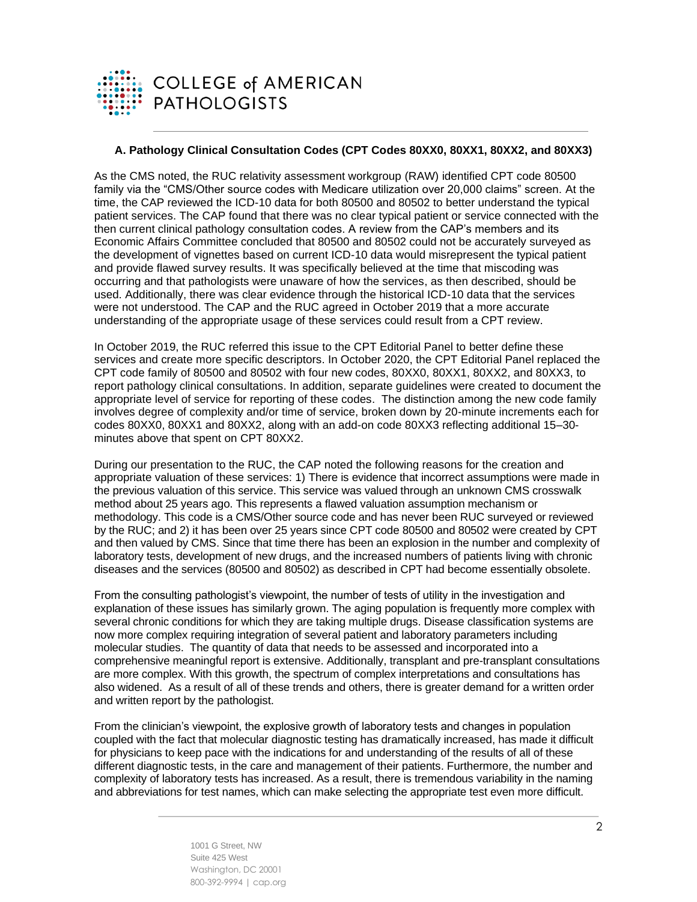

### **A. Pathology Clinical Consultation Codes (CPT Codes 80XX0, 80XX1, 80XX2, and 80XX3)**

As the CMS noted, the RUC relativity assessment workgroup (RAW) identified CPT code 80500 family via the "CMS/Other source codes with Medicare utilization over 20,000 claims" screen. At the time, the CAP reviewed the ICD-10 data for both 80500 and 80502 to better understand the typical patient services. The CAP found that there was no clear typical patient or service connected with the then current clinical pathology consultation codes. A review from the CAP's members and its Economic Affairs Committee concluded that 80500 and 80502 could not be accurately surveyed as the development of vignettes based on current ICD-10 data would misrepresent the typical patient and provide flawed survey results. It was specifically believed at the time that miscoding was occurring and that pathologists were unaware of how the services, as then described, should be used. Additionally, there was clear evidence through the historical ICD-10 data that the services were not understood. The CAP and the RUC agreed in October 2019 that a more accurate understanding of the appropriate usage of these services could result from a CPT review.

In October 2019, the RUC referred this issue to the CPT Editorial Panel to better define these services and create more specific descriptors. In October 2020, the CPT Editorial Panel replaced the CPT code family of 80500 and 80502 with four new codes, 80XX0, 80XX1, 80XX2, and 80XX3, to report pathology clinical consultations. In addition, separate guidelines were created to document the appropriate level of service for reporting of these codes. The distinction among the new code family involves degree of complexity and/or time of service, broken down by 20-minute increments each for codes 80XX0, 80XX1 and 80XX2, along with an add-on code 80XX3 reflecting additional 15–30 minutes above that spent on CPT 80XX2.

During our presentation to the RUC, the CAP noted the following reasons for the creation and appropriate valuation of these services: 1) There is evidence that incorrect assumptions were made in the previous valuation of this service. This service was valued through an unknown CMS crosswalk method about 25 years ago. This represents a flawed valuation assumption mechanism or methodology. This code is a CMS/Other source code and has never been RUC surveyed or reviewed by the RUC; and 2) it has been over 25 years since CPT code 80500 and 80502 were created by CPT and then valued by CMS. Since that time there has been an explosion in the number and complexity of laboratory tests, development of new drugs, and the increased numbers of patients living with chronic diseases and the services (80500 and 80502) as described in CPT had become essentially obsolete.

From the consulting pathologist's viewpoint, the number of tests of utility in the investigation and explanation of these issues has similarly grown. The aging population is frequently more complex with several chronic conditions for which they are taking multiple drugs. Disease classification systems are now more complex requiring integration of several patient and laboratory parameters including molecular studies. The quantity of data that needs to be assessed and incorporated into a comprehensive meaningful report is extensive. Additionally, transplant and pre-transplant consultations are more complex. With this growth, the spectrum of complex interpretations and consultations has also widened. As a result of all of these trends and others, there is greater demand for a written order and written report by the pathologist.

From the clinician's viewpoint, the explosive growth of laboratory tests and changes in population coupled with the fact that molecular diagnostic testing has dramatically increased, has made it difficult for physicians to keep pace with the indications for and understanding of the results of all of these different diagnostic tests, in the care and management of their patients. Furthermore, the number and complexity of laboratory tests has increased. As a result, there is tremendous variability in the naming and abbreviations for test names, which can make selecting the appropriate test even more difficult.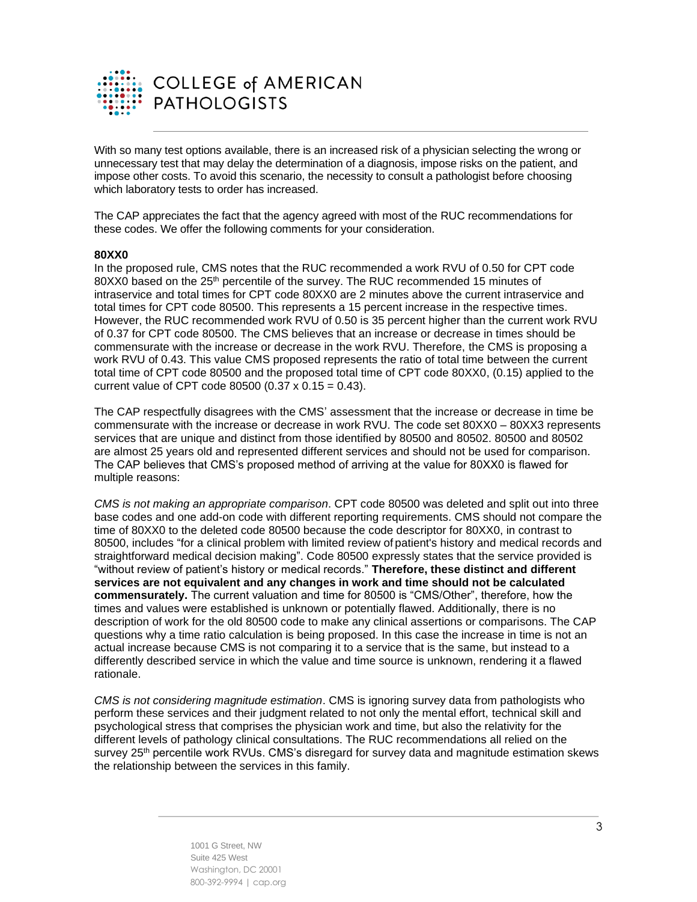

With so many test options available, there is an increased risk of a physician selecting the wrong or unnecessary test that may delay the determination of a diagnosis, impose risks on the patient, and impose other costs. To avoid this scenario, the necessity to consult a pathologist before choosing which laboratory tests to order has increased.

The CAP appreciates the fact that the agency agreed with most of the RUC recommendations for these codes. We offer the following comments for your consideration.

#### **80XX0**

In the proposed rule, CMS notes that the RUC recommended a work RVU of 0.50 for CPT code 80XX0 based on the 25th percentile of the survey. The RUC recommended 15 minutes of intraservice and total times for CPT code 80XX0 are 2 minutes above the current intraservice and total times for CPT code 80500. This represents a 15 percent increase in the respective times. However, the RUC recommended work RVU of 0.50 is 35 percent higher than the current work RVU of 0.37 for CPT code 80500. The CMS believes that an increase or decrease in times should be commensurate with the increase or decrease in the work RVU. Therefore, the CMS is proposing a work RVU of 0.43. This value CMS proposed represents the ratio of total time between the current total time of CPT code 80500 and the proposed total time of CPT code 80XX0, (0.15) applied to the current value of CPT code 80500 (0.37 x 0.15 = 0.43).

The CAP respectfully disagrees with the CMS' assessment that the increase or decrease in time be commensurate with the increase or decrease in work RVU. The code set 80XX0 – 80XX3 represents services that are unique and distinct from those identified by 80500 and 80502. 80500 and 80502 are almost 25 years old and represented different services and should not be used for comparison. The CAP believes that CMS's proposed method of arriving at the value for 80XX0 is flawed for multiple reasons:

*CMS is not making an appropriate comparison*. CPT code 80500 was deleted and split out into three base codes and one add-on code with different reporting requirements. CMS should not compare the time of 80XX0 to the deleted code 80500 because the code descriptor for 80XX0, in contrast to 80500, includes "for a clinical problem with limited review of patient's history and medical records and straightforward medical decision making". Code 80500 expressly states that the service provided is "without review of patient's history or medical records." **Therefore, these distinct and different services are not equivalent and any changes in work and time should not be calculated commensurately.** The current valuation and time for 80500 is "CMS/Other", therefore, how the times and values were established is unknown or potentially flawed. Additionally, there is no description of work for the old 80500 code to make any clinical assertions or comparisons. The CAP questions why a time ratio calculation is being proposed. In this case the increase in time is not an actual increase because CMS is not comparing it to a service that is the same, but instead to a differently described service in which the value and time source is unknown, rendering it a flawed rationale.

*CMS is not considering magnitude estimation*. CMS is ignoring survey data from pathologists who perform these services and their judgment related to not only the mental effort, technical skill and psychological stress that comprises the physician work and time, but also the relativity for the different levels of pathology clinical consultations. The RUC recommendations all relied on the survey 25<sup>th</sup> percentile work RVUs. CMS's disregard for survey data and magnitude estimation skews the relationship between the services in this family.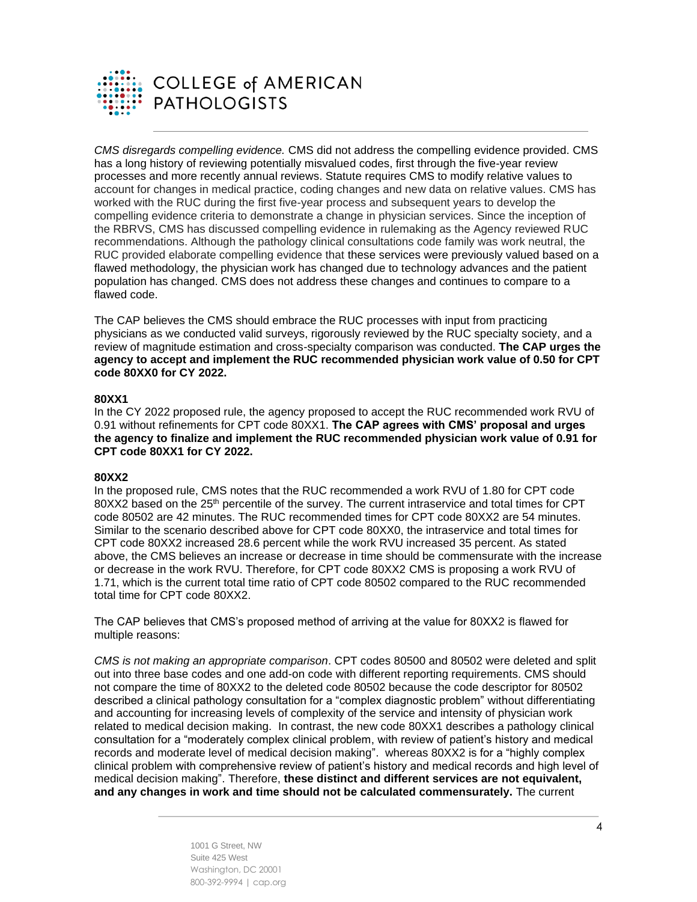

*CMS disregards compelling evidence.* CMS did not address the compelling evidence provided. CMS has a long history of reviewing potentially misvalued codes, first through the five-year review processes and more recently annual reviews. Statute requires CMS to modify relative values to account for changes in medical practice, coding changes and new data on relative values. CMS has worked with the RUC during the first five-year process and subsequent years to develop the compelling evidence criteria to demonstrate a change in physician services. Since the inception of the RBRVS, CMS has discussed compelling evidence in rulemaking as the Agency reviewed RUC recommendations. Although the pathology clinical consultations code family was work neutral, the RUC provided elaborate compelling evidence that these services were previously valued based on a flawed methodology, the physician work has changed due to technology advances and the patient population has changed. CMS does not address these changes and continues to compare to a flawed code.

The CAP believes the CMS should embrace the RUC processes with input from practicing physicians as we conducted valid surveys, rigorously reviewed by the RUC specialty society, and a review of magnitude estimation and cross-specialty comparison was conducted. **The CAP urges the agency to accept and implement the RUC recommended physician work value of 0.50 for CPT code 80XX0 for CY 2022.**

#### **80XX1**

In the CY 2022 proposed rule, the agency proposed to accept the RUC recommended work RVU of 0.91 without refinements for CPT code 80XX1. **The CAP agrees with CMS' proposal and urges the agency to finalize and implement the RUC recommended physician work value of 0.91 for CPT code 80XX1 for CY 2022.**

#### **80XX2**

In the proposed rule, CMS notes that the RUC recommended a work RVU of 1.80 for CPT code 80XX2 based on the 25<sup>th</sup> percentile of the survey. The current intraservice and total times for CPT code 80502 are 42 minutes. The RUC recommended times for CPT code 80XX2 are 54 minutes. Similar to the scenario described above for CPT code 80XX0, the intraservice and total times for CPT code 80XX2 increased 28.6 percent while the work RVU increased 35 percent. As stated above, the CMS believes an increase or decrease in time should be commensurate with the increase or decrease in the work RVU. Therefore, for CPT code 80XX2 CMS is proposing a work RVU of 1.71, which is the current total time ratio of CPT code 80502 compared to the RUC recommended total time for CPT code 80XX2.

The CAP believes that CMS's proposed method of arriving at the value for 80XX2 is flawed for multiple reasons:

*CMS is not making an appropriate comparison*. CPT codes 80500 and 80502 were deleted and split out into three base codes and one add-on code with different reporting requirements. CMS should not compare the time of 80XX2 to the deleted code 80502 because the code descriptor for 80502 described a clinical pathology consultation for a "complex diagnostic problem" without differentiating and accounting for increasing levels of complexity of the service and intensity of physician work related to medical decision making. In contrast, the new code 80XX1 describes a pathology clinical consultation for a "moderately complex clinical problem, with review of patient's history and medical records and moderate level of medical decision making". whereas 80XX2 is for a "highly complex clinical problem with comprehensive review of patient's history and medical records and high level of medical decision making". Therefore, **these distinct and different services are not equivalent, and any changes in work and time should not be calculated commensurately.** The current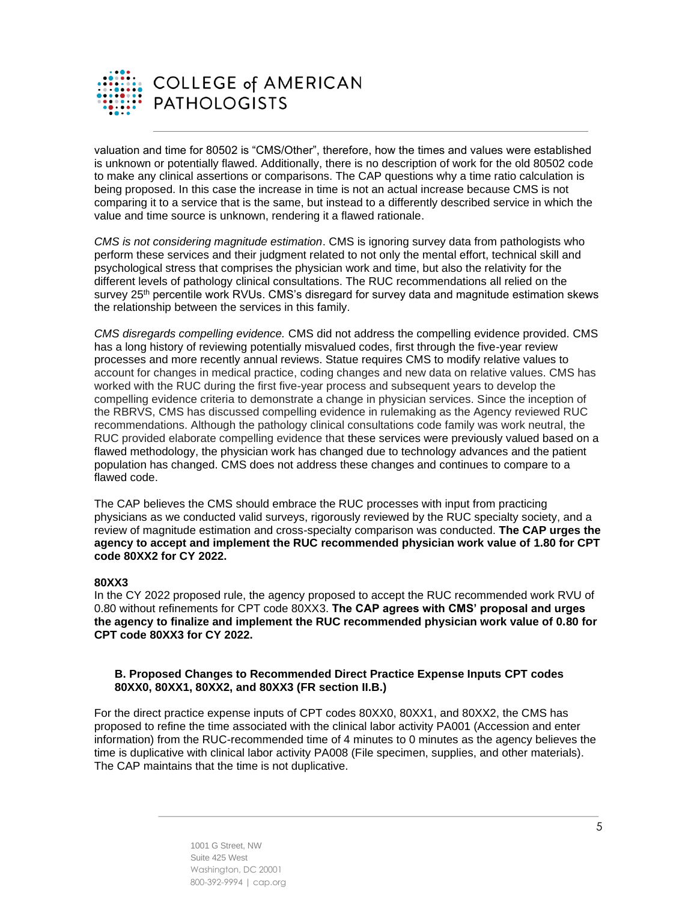

valuation and time for 80502 is "CMS/Other", therefore, how the times and values were established is unknown or potentially flawed. Additionally, there is no description of work for the old 80502 code to make any clinical assertions or comparisons. The CAP questions why a time ratio calculation is being proposed. In this case the increase in time is not an actual increase because CMS is not comparing it to a service that is the same, but instead to a differently described service in which the value and time source is unknown, rendering it a flawed rationale.

*CMS is not considering magnitude estimation*. CMS is ignoring survey data from pathologists who perform these services and their judgment related to not only the mental effort, technical skill and psychological stress that comprises the physician work and time, but also the relativity for the different levels of pathology clinical consultations. The RUC recommendations all relied on the survey 25<sup>th</sup> percentile work RVUs. CMS's disregard for survey data and magnitude estimation skews the relationship between the services in this family.

*CMS disregards compelling evidence.* CMS did not address the compelling evidence provided. CMS has a long history of reviewing potentially misvalued codes, first through the five-year review processes and more recently annual reviews. Statue requires CMS to modify relative values to account for changes in medical practice, coding changes and new data on relative values. CMS has worked with the RUC during the first five-year process and subsequent years to develop the compelling evidence criteria to demonstrate a change in physician services. Since the inception of the RBRVS, CMS has discussed compelling evidence in rulemaking as the Agency reviewed RUC recommendations. Although the pathology clinical consultations code family was work neutral, the RUC provided elaborate compelling evidence that these services were previously valued based on a flawed methodology, the physician work has changed due to technology advances and the patient population has changed. CMS does not address these changes and continues to compare to a flawed code.

The CAP believes the CMS should embrace the RUC processes with input from practicing physicians as we conducted valid surveys, rigorously reviewed by the RUC specialty society, and a review of magnitude estimation and cross-specialty comparison was conducted. **The CAP urges the agency to accept and implement the RUC recommended physician work value of 1.80 for CPT code 80XX2 for CY 2022.**

## **80XX3**

In the CY 2022 proposed rule, the agency proposed to accept the RUC recommended work RVU of 0.80 without refinements for CPT code 80XX3. **The CAP agrees with CMS' proposal and urges the agency to finalize and implement the RUC recommended physician work value of 0.80 for CPT code 80XX3 for CY 2022.**

#### **B. Proposed Changes to Recommended Direct Practice Expense Inputs CPT codes 80XX0, 80XX1, 80XX2, and 80XX3 (FR section II.B.)**

For the direct practice expense inputs of CPT codes 80XX0, 80XX1, and 80XX2, the CMS has proposed to refine the time associated with the clinical labor activity PA001 (Accession and enter information) from the RUC-recommended time of 4 minutes to 0 minutes as the agency believes the time is duplicative with clinical labor activity PA008 (File specimen, supplies, and other materials). The CAP maintains that the time is not duplicative.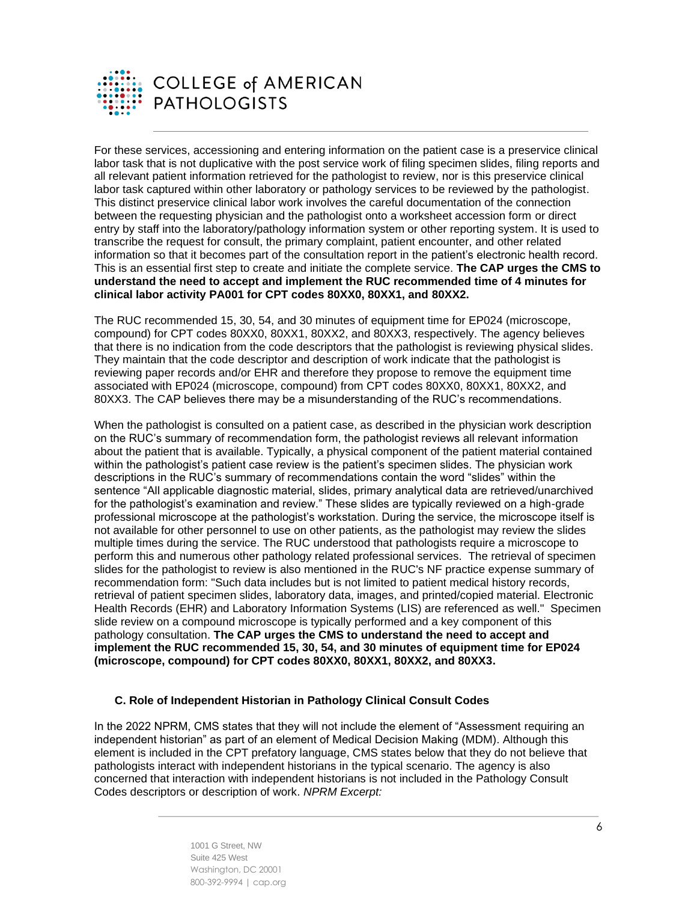

For these services, accessioning and entering information on the patient case is a preservice clinical labor task that is not duplicative with the post service work of filing specimen slides, filing reports and all relevant patient information retrieved for the pathologist to review, nor is this preservice clinical labor task captured within other laboratory or pathology services to be reviewed by the pathologist. This distinct preservice clinical labor work involves the careful documentation of the connection between the requesting physician and the pathologist onto a worksheet accession form or direct entry by staff into the laboratory/pathology information system or other reporting system. It is used to transcribe the request for consult, the primary complaint, patient encounter, and other related information so that it becomes part of the consultation report in the patient's electronic health record. This is an essential first step to create and initiate the complete service. **The CAP urges the CMS to understand the need to accept and implement the RUC recommended time of 4 minutes for clinical labor activity PA001 for CPT codes 80XX0, 80XX1, and 80XX2.**

The RUC recommended 15, 30, 54, and 30 minutes of equipment time for EP024 (microscope, compound) for CPT codes 80XX0, 80XX1, 80XX2, and 80XX3, respectively. The agency believes that there is no indication from the code descriptors that the pathologist is reviewing physical slides. They maintain that the code descriptor and description of work indicate that the pathologist is reviewing paper records and/or EHR and therefore they propose to remove the equipment time associated with EP024 (microscope, compound) from CPT codes 80XX0, 80XX1, 80XX2, and 80XX3. The CAP believes there may be a misunderstanding of the RUC's recommendations.

When the pathologist is consulted on a patient case, as described in the physician work description on the RUC's summary of recommendation form, the pathologist reviews all relevant information about the patient that is available. Typically, a physical component of the patient material contained within the pathologist's patient case review is the patient's specimen slides. The physician work descriptions in the RUC's summary of recommendations contain the word "slides" within the sentence "All applicable diagnostic material, slides, primary analytical data are retrieved/unarchived for the pathologist's examination and review." These slides are typically reviewed on a high-grade professional microscope at the pathologist's workstation. During the service, the microscope itself is not available for other personnel to use on other patients, as the pathologist may review the slides multiple times during the service. The RUC understood that pathologists require a microscope to perform this and numerous other pathology related professional services. The retrieval of specimen slides for the pathologist to review is also mentioned in the RUC's NF practice expense summary of recommendation form: "Such data includes but is not limited to patient medical history records, retrieval of patient specimen slides, laboratory data, images, and printed/copied material. Electronic Health Records (EHR) and Laboratory Information Systems (LIS) are referenced as well." Specimen slide review on a compound microscope is typically performed and a key component of this pathology consultation. **The CAP urges the CMS to understand the need to accept and implement the RUC recommended 15, 30, 54, and 30 minutes of equipment time for EP024 (microscope, compound) for CPT codes 80XX0, 80XX1, 80XX2, and 80XX3.**

#### **C. Role of Independent Historian in Pathology Clinical Consult Codes**

In the 2022 NPRM, CMS states that they will not include the element of "Assessment requiring an independent historian" as part of an element of Medical Decision Making (MDM). Although this element is included in the CPT prefatory language, CMS states below that they do not believe that pathologists interact with independent historians in the typical scenario. The agency is also concerned that interaction with independent historians is not included in the Pathology Consult Codes descriptors or description of work. *NPRM Excerpt:*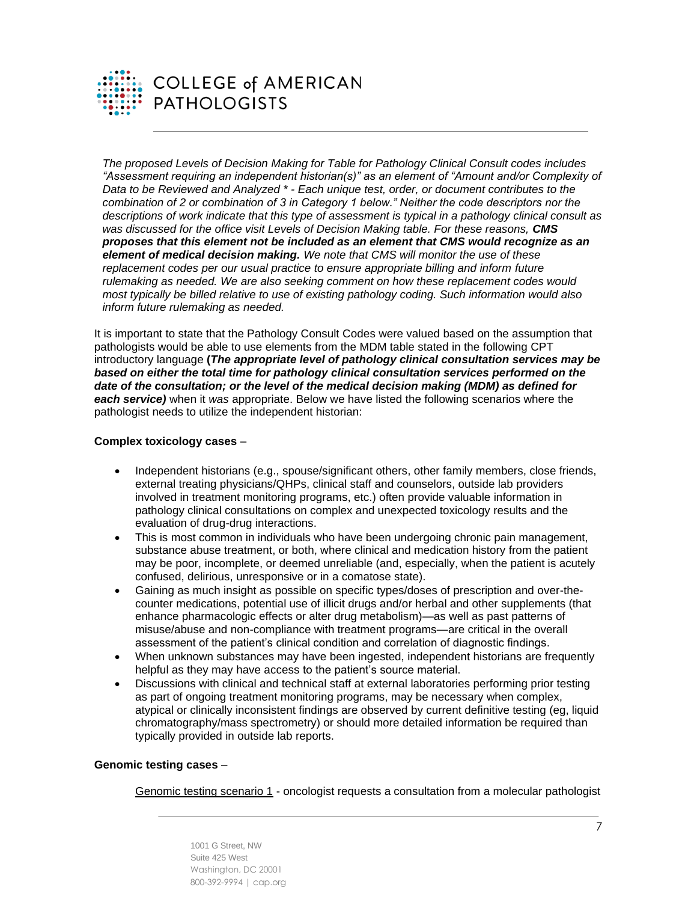

*The proposed Levels of Decision Making for Table for Pathology Clinical Consult codes includes "Assessment requiring an independent historian(s)" as an element of "Amount and/or Complexity of Data to be Reviewed and Analyzed \* - Each unique test, order, or document contributes to the combination of 2 or combination of 3 in Category 1 below." Neither the code descriptors nor the descriptions of work indicate that this type of assessment is typical in a pathology clinical consult as was discussed for the office visit Levels of Decision Making table. For these reasons, CMS proposes that this element not be included as an element that CMS would recognize as an element of medical decision making. We note that CMS will monitor the use of these replacement codes per our usual practice to ensure appropriate billing and inform future rulemaking as needed. We are also seeking comment on how these replacement codes would most typically be billed relative to use of existing pathology coding. Such information would also inform future rulemaking as needed.*

It is important to state that the Pathology Consult Codes were valued based on the assumption that pathologists would be able to use elements from the MDM table stated in the following CPT introductory language **(***The appropriate level of pathology clinical consultation services may be based on either the total time for pathology clinical consultation services performed on the date of the consultation; or the level of the medical decision making (MDM) as defined for each service)* when it *was* appropriate. Below we have listed the following scenarios where the pathologist needs to utilize the independent historian:

#### **Complex toxicology cases** –

- Independent historians (e.g., spouse/significant others, other family members, close friends, external treating physicians/QHPs, clinical staff and counselors, outside lab providers involved in treatment monitoring programs, etc.) often provide valuable information in pathology clinical consultations on complex and unexpected toxicology results and the evaluation of drug-drug interactions.
- This is most common in individuals who have been undergoing chronic pain management, substance abuse treatment, or both, where clinical and medication history from the patient may be poor, incomplete, or deemed unreliable (and, especially, when the patient is acutely confused, delirious, unresponsive or in a comatose state).
- Gaining as much insight as possible on specific types/doses of prescription and over-thecounter medications, potential use of illicit drugs and/or herbal and other supplements (that enhance pharmacologic effects or alter drug metabolism)—as well as past patterns of misuse/abuse and non-compliance with treatment programs—are critical in the overall assessment of the patient's clinical condition and correlation of diagnostic findings.
- When unknown substances may have been ingested, independent historians are frequently helpful as they may have access to the patient's source material.
- Discussions with clinical and technical staff at external laboratories performing prior testing as part of ongoing treatment monitoring programs, may be necessary when complex, atypical or clinically inconsistent findings are observed by current definitive testing (eg, liquid chromatography/mass spectrometry) or should more detailed information be required than typically provided in outside lab reports.

# **Genomic testing cases** –

Genomic testing scenario 1 - oncologist requests a consultation from a molecular pathologist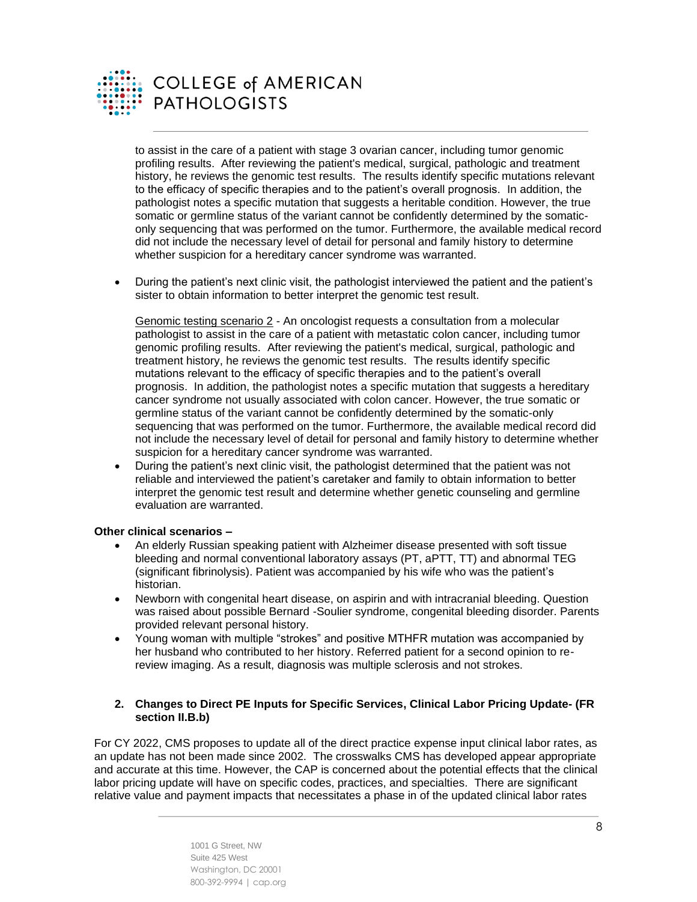

# **COLLEGE of AMERICAN PATHOLOGISTS**

to assist in the care of a patient with stage 3 ovarian cancer, including tumor genomic profiling results. After reviewing the patient's medical, surgical, pathologic and treatment history, he reviews the genomic test results. The results identify specific mutations relevant to the efficacy of specific therapies and to the patient's overall prognosis. In addition, the pathologist notes a specific mutation that suggests a heritable condition. However, the true somatic or germline status of the variant cannot be confidently determined by the somaticonly sequencing that was performed on the tumor. Furthermore, the available medical record did not include the necessary level of detail for personal and family history to determine whether suspicion for a hereditary cancer syndrome was warranted.

• During the patient's next clinic visit, the pathologist interviewed the patient and the patient's sister to obtain information to better interpret the genomic test result.

Genomic testing scenario 2 - An oncologist requests a consultation from a molecular pathologist to assist in the care of a patient with metastatic colon cancer, including tumor genomic profiling results. After reviewing the patient's medical, surgical, pathologic and treatment history, he reviews the genomic test results. The results identify specific mutations relevant to the efficacy of specific therapies and to the patient's overall prognosis. In addition, the pathologist notes a specific mutation that suggests a hereditary cancer syndrome not usually associated with colon cancer. However, the true somatic or germline status of the variant cannot be confidently determined by the somatic-only sequencing that was performed on the tumor. Furthermore, the available medical record did not include the necessary level of detail for personal and family history to determine whether suspicion for a hereditary cancer syndrome was warranted.

• During the patient's next clinic visit, the pathologist determined that the patient was not reliable and interviewed the patient's caretaker and family to obtain information to better interpret the genomic test result and determine whether genetic counseling and germline evaluation are warranted.

#### **Other clinical scenarios –**

- An elderly Russian speaking patient with Alzheimer disease presented with soft tissue bleeding and normal conventional laboratory assays (PT, aPTT, TT) and abnormal TEG (significant fibrinolysis). Patient was accompanied by his wife who was the patient's historian.
- Newborn with congenital heart disease, on aspirin and with intracranial bleeding. Question was raised about possible Bernard -Soulier syndrome, congenital bleeding disorder. Parents provided relevant personal history.
- Young woman with multiple "strokes" and positive MTHFR mutation was accompanied by her husband who contributed to her history. Referred patient for a second opinion to rereview imaging. As a result, diagnosis was multiple sclerosis and not strokes.

#### **2. Changes to Direct PE Inputs for Specific Services, Clinical Labor Pricing Update- (FR section II.B.b)**

For CY 2022, CMS proposes to update all of the direct practice expense input clinical labor rates, as an update has not been made since 2002. The crosswalks CMS has developed appear appropriate and accurate at this time. However, the CAP is concerned about the potential effects that the clinical labor pricing update will have on specific codes, practices, and specialties. There are significant relative value and payment impacts that necessitates a phase in of the updated clinical labor rates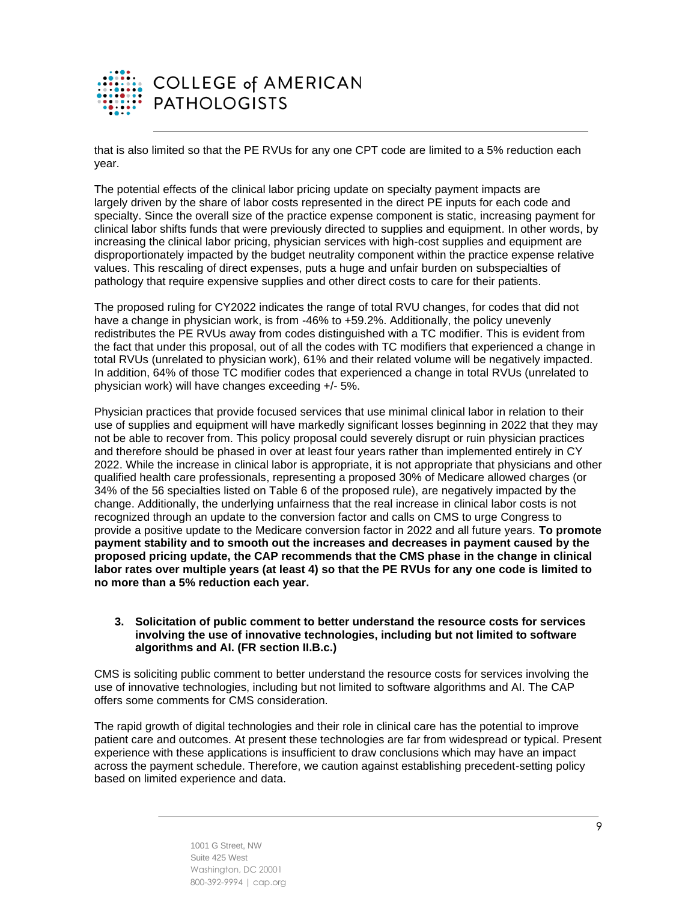

that is also limited so that the PE RVUs for any one CPT code are limited to a 5% reduction each year.

The potential effects of the clinical labor pricing update on specialty payment impacts are largely driven by the share of labor costs represented in the direct PE inputs for each code and specialty. Since the overall size of the practice expense component is static, increasing payment for clinical labor shifts funds that were previously directed to supplies and equipment. In other words, by increasing the clinical labor pricing, physician services with high-cost supplies and equipment are disproportionately impacted by the budget neutrality component within the practice expense relative values. This rescaling of direct expenses, puts a huge and unfair burden on subspecialties of pathology that require expensive supplies and other direct costs to care for their patients.

The proposed ruling for CY2022 indicates the range of total RVU changes, for codes that did not have a change in physician work, is from -46% to +59.2%. Additionally, the policy unevenly redistributes the PE RVUs away from codes distinguished with a TC modifier. This is evident from the fact that under this proposal, out of all the codes with TC modifiers that experienced a change in total RVUs (unrelated to physician work), 61% and their related volume will be negatively impacted. In addition, 64% of those TC modifier codes that experienced a change in total RVUs (unrelated to physician work) will have changes exceeding +/- 5%.

Physician practices that provide focused services that use minimal clinical labor in relation to their use of supplies and equipment will have markedly significant losses beginning in 2022 that they may not be able to recover from. This policy proposal could severely disrupt or ruin physician practices and therefore should be phased in over at least four years rather than implemented entirely in CY 2022. While the increase in clinical labor is appropriate, it is not appropriate that physicians and other qualified health care professionals, representing a proposed 30% of Medicare allowed charges (or 34% of the 56 specialties listed on Table 6 of the proposed rule), are negatively impacted by the change. Additionally, the underlying unfairness that the real increase in clinical labor costs is not recognized through an update to the conversion factor and calls on CMS to urge Congress to provide a positive update to the Medicare conversion factor in 2022 and all future years. **To promote payment stability and to smooth out the increases and decreases in payment caused by the proposed pricing update, the CAP recommends that the CMS phase in the change in clinical labor rates over multiple years (at least 4) so that the PE RVUs for any one code is limited to no more than a 5% reduction each year.**

#### **3. Solicitation of public comment to better understand the resource costs for services involving the use of innovative technologies, including but not limited to software algorithms and AI. (FR section II.B.c.)**

CMS is soliciting public comment to better understand the resource costs for services involving the use of innovative technologies, including but not limited to software algorithms and AI. The CAP offers some comments for CMS consideration.

The rapid growth of digital technologies and their role in clinical care has the potential to improve patient care and outcomes. At present these technologies are far from widespread or typical. Present experience with these applications is insufficient to draw conclusions which may have an impact across the payment schedule. Therefore, we caution against establishing precedent-setting policy based on limited experience and data.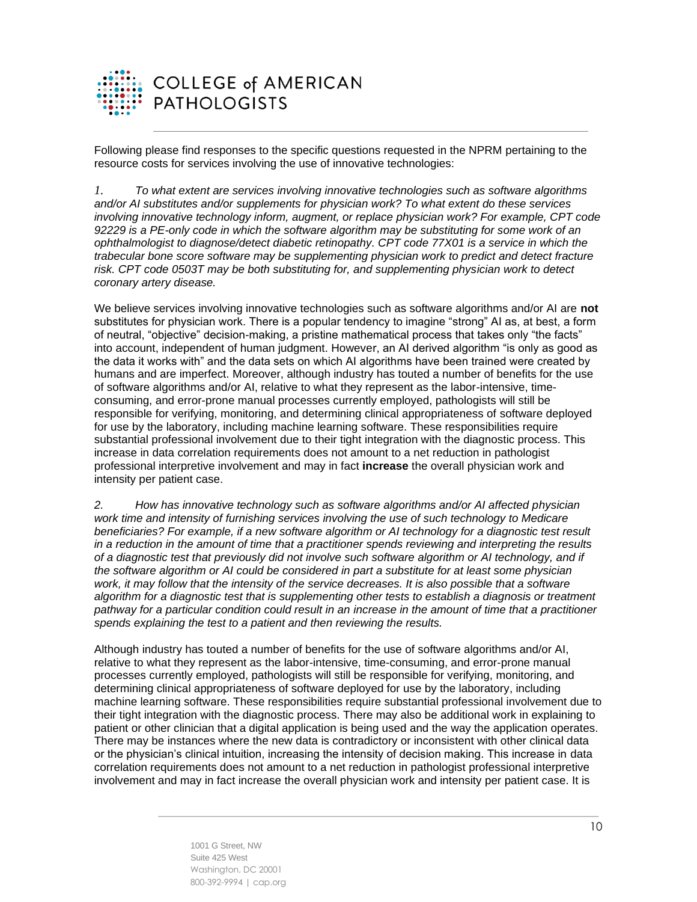

Following please find responses to the specific questions requested in the NPRM pertaining to the resource costs for services involving the use of innovative technologies:

*1. To what extent are services involving innovative technologies such as software algorithms and/or AI substitutes and/or supplements for physician work? To what extent do these services involving innovative technology inform, augment, or replace physician work? For example, CPT code 92229 is a PE-only code in which the software algorithm may be substituting for some work of an ophthalmologist to diagnose/detect diabetic retinopathy. CPT code 77X01 is a service in which the trabecular bone score software may be supplementing physician work to predict and detect fracture risk. CPT code 0503T may be both substituting for, and supplementing physician work to detect coronary artery disease.*

We believe services involving innovative technologies such as software algorithms and/or AI are **not** substitutes for physician work. There is a popular tendency to imagine "strong" AI as, at best, a form of neutral, "objective" decision-making, a pristine mathematical process that takes only "the facts" into account, independent of human judgment. However, an AI derived algorithm "is only as good as the data it works with" and the data sets on which AI algorithms have been trained were created by humans and are imperfect. Moreover, although industry has touted a number of benefits for the use of software algorithms and/or AI, relative to what they represent as the labor-intensive, timeconsuming, and error-prone manual processes currently employed, pathologists will still be responsible for verifying, monitoring, and determining clinical appropriateness of software deployed for use by the laboratory, including machine learning software. These responsibilities require substantial professional involvement due to their tight integration with the diagnostic process. This increase in data correlation requirements does not amount to a net reduction in pathologist professional interpretive involvement and may in fact **increase** the overall physician work and intensity per patient case.

*2. How has innovative technology such as software algorithms and/or AI affected physician*  work time and intensity of furnishing services involving the use of such technology to Medicare *beneficiaries? For example, if a new software algorithm or AI technology for a diagnostic test result in a reduction in the amount of time that a practitioner spends reviewing and interpreting the results of a diagnostic test that previously did not involve such software algorithm or AI technology, and if the software algorithm or AI could be considered in part a substitute for at least some physician*  work, it may follow that the intensity of the service decreases. It is also possible that a software *algorithm for a diagnostic test that is supplementing other tests to establish a diagnosis or treatment pathway for a particular condition could result in an increase in the amount of time that a practitioner spends explaining the test to a patient and then reviewing the results.*

Although industry has touted a number of benefits for the use of software algorithms and/or AI, relative to what they represent as the labor-intensive, time-consuming, and error-prone manual processes currently employed, pathologists will still be responsible for verifying, monitoring, and determining clinical appropriateness of software deployed for use by the laboratory, including machine learning software. These responsibilities require substantial professional involvement due to their tight integration with the diagnostic process. There may also be additional work in explaining to patient or other clinician that a digital application is being used and the way the application operates. There may be instances where the new data is contradictory or inconsistent with other clinical data or the physician's clinical intuition, increasing the intensity of decision making. This increase in data correlation requirements does not amount to a net reduction in pathologist professional interpretive involvement and may in fact increase the overall physician work and intensity per patient case. It is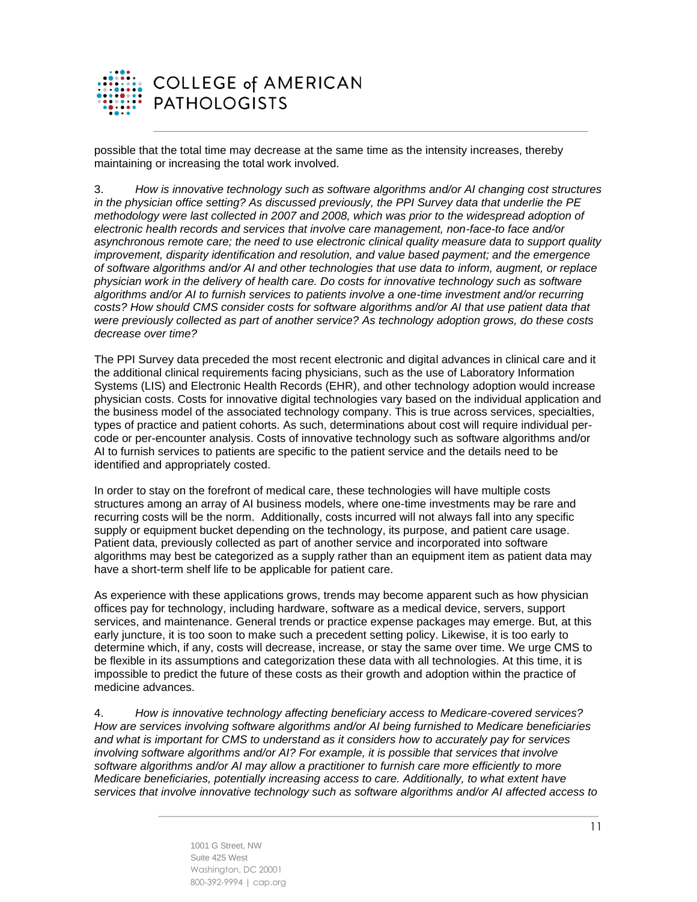

possible that the total time may decrease at the same time as the intensity increases, thereby maintaining or increasing the total work involved.

3. *How is innovative technology such as software algorithms and/or AI changing cost structures in the physician office setting? As discussed previously, the PPI Survey data that underlie the PE methodology were last collected in 2007 and 2008, which was prior to the widespread adoption of electronic health records and services that involve care management, non-face-to face and/or asynchronous remote care; the need to use electronic clinical quality measure data to support quality improvement, disparity identification and resolution, and value based payment; and the emergence of software algorithms and/or AI and other technologies that use data to inform, augment, or replace physician work in the delivery of health care. Do costs for innovative technology such as software algorithms and/or AI to furnish services to patients involve a one-time investment and/or recurring*  costs? How should CMS consider costs for software algorithms and/or AI that use patient data that *were previously collected as part of another service? As technology adoption grows, do these costs decrease over time?*

The PPI Survey data preceded the most recent electronic and digital advances in clinical care and it the additional clinical requirements facing physicians, such as the use of Laboratory Information Systems (LIS) and Electronic Health Records (EHR), and other technology adoption would increase physician costs. Costs for innovative digital technologies vary based on the individual application and the business model of the associated technology company. This is true across services, specialties, types of practice and patient cohorts. As such, determinations about cost will require individual percode or per-encounter analysis. Costs of innovative technology such as software algorithms and/or AI to furnish services to patients are specific to the patient service and the details need to be identified and appropriately costed.

In order to stay on the forefront of medical care, these technologies will have multiple costs structures among an array of AI business models, where one-time investments may be rare and recurring costs will be the norm. Additionally, costs incurred will not always fall into any specific supply or equipment bucket depending on the technology, its purpose, and patient care usage. Patient data, previously collected as part of another service and incorporated into software algorithms may best be categorized as a supply rather than an equipment item as patient data may have a short-term shelf life to be applicable for patient care.

As experience with these applications grows, trends may become apparent such as how physician offices pay for technology, including hardware, software as a medical device, servers, support services, and maintenance. General trends or practice expense packages may emerge. But, at this early juncture, it is too soon to make such a precedent setting policy. Likewise, it is too early to determine which, if any, costs will decrease, increase, or stay the same over time. We urge CMS to be flexible in its assumptions and categorization these data with all technologies. At this time, it is impossible to predict the future of these costs as their growth and adoption within the practice of medicine advances.

4. *How is innovative technology affecting beneficiary access to Medicare-covered services? How are services involving software algorithms and/or AI being furnished to Medicare beneficiaries and what is important for CMS to understand as it considers how to accurately pay for services involving software algorithms and/or AI? For example, it is possible that services that involve software algorithms and/or AI may allow a practitioner to furnish care more efficiently to more Medicare beneficiaries, potentially increasing access to care. Additionally, to what extent have services that involve innovative technology such as software algorithms and/or AI affected access to*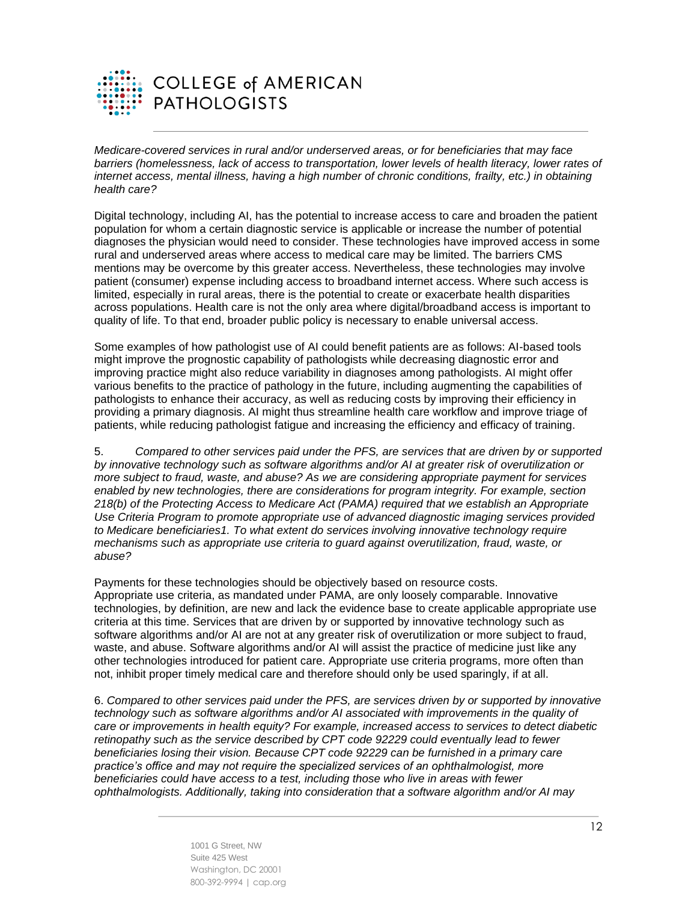

*Medicare-covered services in rural and/or underserved areas, or for beneficiaries that may face barriers (homelessness, lack of access to transportation, lower levels of health literacy, lower rates of internet access, mental illness, having a high number of chronic conditions, frailty, etc.) in obtaining health care?*

Digital technology, including AI, has the potential to increase access to care and broaden the patient population for whom a certain diagnostic service is applicable or increase the number of potential diagnoses the physician would need to consider. These technologies have improved access in some rural and underserved areas where access to medical care may be limited. The barriers CMS mentions may be overcome by this greater access. Nevertheless, these technologies may involve patient (consumer) expense including access to broadband internet access. Where such access is limited, especially in rural areas, there is the potential to create or exacerbate health disparities across populations. Health care is not the only area where digital/broadband access is important to quality of life. To that end, broader public policy is necessary to enable universal access.

Some examples of how pathologist use of AI could benefit patients are as follows: AI-based tools might improve the prognostic capability of pathologists while decreasing diagnostic error and improving practice might also reduce variability in diagnoses among pathologists. AI might offer various benefits to the practice of pathology in the future, including augmenting the capabilities of pathologists to enhance their accuracy, as well as reducing costs by improving their efficiency in providing a primary diagnosis. AI might thus streamline health care workflow and improve triage of patients, while reducing pathologist fatigue and increasing the efficiency and efficacy of training.

5. *Compared to other services paid under the PFS, are services that are driven by or supported by innovative technology such as software algorithms and/or AI at greater risk of overutilization or more subject to fraud, waste, and abuse? As we are considering appropriate payment for services enabled by new technologies, there are considerations for program integrity. For example, section 218(b) of the Protecting Access to Medicare Act (PAMA) required that we establish an Appropriate Use Criteria Program to promote appropriate use of advanced diagnostic imaging services provided to Medicare beneficiaries1. To what extent do services involving innovative technology require mechanisms such as appropriate use criteria to guard against overutilization, fraud, waste, or abuse?*

Payments for these technologies should be objectively based on resource costs. Appropriate use criteria, as mandated under PAMA, are only loosely comparable. Innovative technologies, by definition, are new and lack the evidence base to create applicable appropriate use criteria at this time. Services that are driven by or supported by innovative technology such as software algorithms and/or AI are not at any greater risk of overutilization or more subject to fraud, waste, and abuse. Software algorithms and/or AI will assist the practice of medicine just like any other technologies introduced for patient care. Appropriate use criteria programs, more often than not, inhibit proper timely medical care and therefore should only be used sparingly, if at all.

6. *Compared to other services paid under the PFS, are services driven by or supported by innovative technology such as software algorithms and/or AI associated with improvements in the quality of care or improvements in health equity? For example, increased access to services to detect diabetic retinopathy such as the service described by CPT code 92229 could eventually lead to fewer beneficiaries losing their vision. Because CPT code 92229 can be furnished in a primary care practice's office and may not require the specialized services of an ophthalmologist, more beneficiaries could have access to a test, including those who live in areas with fewer ophthalmologists. Additionally, taking into consideration that a software algorithm and/or AI may*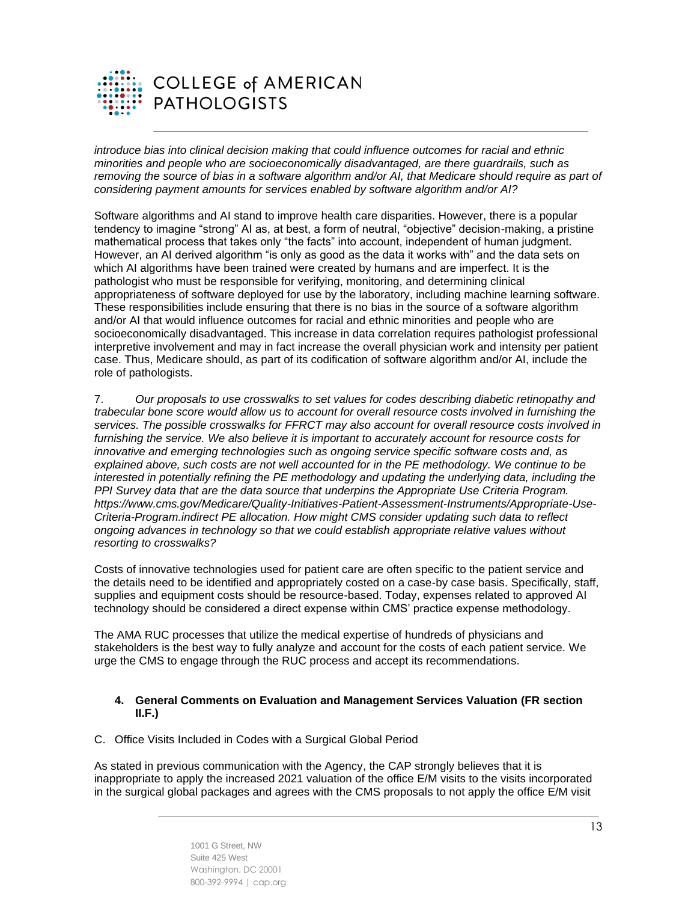

*introduce bias into clinical decision making that could influence outcomes for racial and ethnic minorities and people who are socioeconomically disadvantaged, are there guardrails, such as*  removing the source of bias in a software algorithm and/or AI, that Medicare should require as part of *considering payment amounts for services enabled by software algorithm and/or AI?*

Software algorithms and AI stand to improve health care disparities. However, there is a popular tendency to imagine "strong" AI as, at best, a form of neutral, "objective" decision-making, a pristine mathematical process that takes only "the facts" into account, independent of human judgment. However, an AI derived algorithm "is only as good as the data it works with" and the data sets on which AI algorithms have been trained were created by humans and are imperfect. It is the pathologist who must be responsible for verifying, monitoring, and determining clinical appropriateness of software deployed for use by the laboratory, including machine learning software. These responsibilities include ensuring that there is no bias in the source of a software algorithm and/or AI that would influence outcomes for racial and ethnic minorities and people who are socioeconomically disadvantaged. This increase in data correlation requires pathologist professional interpretive involvement and may in fact increase the overall physician work and intensity per patient case. Thus, Medicare should, as part of its codification of software algorithm and/or AI, include the role of pathologists.

7. *Our proposals to use crosswalks to set values for codes describing diabetic retinopathy and trabecular bone score would allow us to account for overall resource costs involved in furnishing the services. The possible crosswalks for FFRCT may also account for overall resource costs involved in*  furnishing the service. We also believe it is important to accurately account for resource costs for *innovative and emerging technologies such as ongoing service specific software costs and, as explained above, such costs are not well accounted for in the PE methodology. We continue to be interested in potentially refining the PE methodology and updating the underlying data, including the PPI Survey data that are the data source that underpins the Appropriate Use Criteria Program. https://www.cms.gov/Medicare/Quality-Initiatives-Patient-Assessment-Instruments/Appropriate-Use-Criteria-Program.indirect PE allocation. How might CMS consider updating such data to reflect ongoing advances in technology so that we could establish appropriate relative values without resorting to crosswalks?*

Costs of innovative technologies used for patient care are often specific to the patient service and the details need to be identified and appropriately costed on a case-by case basis. Specifically, staff, supplies and equipment costs should be resource-based. Today, expenses related to approved AI technology should be considered a direct expense within CMS' practice expense methodology.

The AMA RUC processes that utilize the medical expertise of hundreds of physicians and stakeholders is the best way to fully analyze and account for the costs of each patient service. We urge the CMS to engage through the RUC process and accept its recommendations.

## **4. General Comments on Evaluation and Management Services Valuation (FR section II.F.)**

C. Office Visits Included in Codes with a Surgical Global Period

As stated in previous communication with the Agency, the CAP strongly believes that it is inappropriate to apply the increased 2021 valuation of the office E/M visits to the visits incorporated in the surgical global packages and agrees with the CMS proposals to not apply the office E/M visit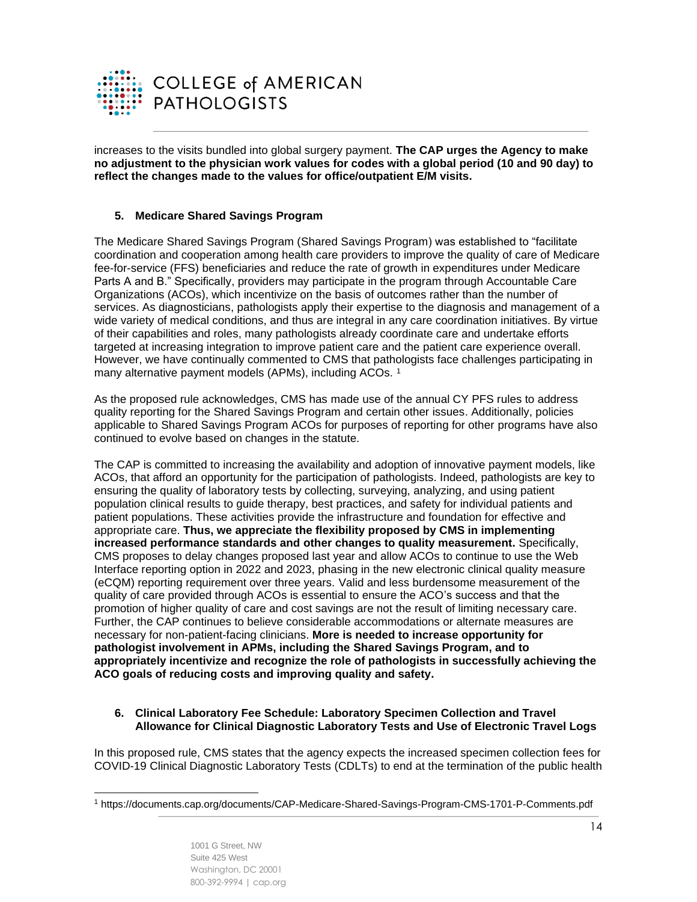

increases to the visits bundled into global surgery payment. **The CAP urges the Agency to make no adjustment to the physician work values for codes with a global period (10 and 90 day) to reflect the changes made to the values for office/outpatient E/M visits.** 

# **5. Medicare Shared Savings Program**

The Medicare Shared Savings Program (Shared Savings Program) was established to "facilitate coordination and cooperation among health care providers to improve the quality of care of Medicare fee-for-service (FFS) beneficiaries and reduce the rate of growth in expenditures under Medicare Parts A and B." Specifically, providers may participate in the program through Accountable Care Organizations (ACOs), which incentivize on the basis of outcomes rather than the number of services. As diagnosticians, pathologists apply their expertise to the diagnosis and management of a wide variety of medical conditions, and thus are integral in any care coordination initiatives. By virtue of their capabilities and roles, many pathologists already coordinate care and undertake efforts targeted at increasing integration to improve patient care and the patient care experience overall. However, we have continually commented to CMS that pathologists face challenges participating in many alternative payment models (APMs), including ACOs.<sup>1</sup>

As the proposed rule acknowledges, CMS has made use of the annual CY PFS rules to address quality reporting for the Shared Savings Program and certain other issues. Additionally, policies applicable to Shared Savings Program ACOs for purposes of reporting for other programs have also continued to evolve based on changes in the statute.

The CAP is committed to increasing the availability and adoption of innovative payment models, like ACOs, that afford an opportunity for the participation of pathologists. Indeed, pathologists are key to ensuring the quality of laboratory tests by collecting, surveying, analyzing, and using patient population clinical results to guide therapy, best practices, and safety for individual patients and patient populations. These activities provide the infrastructure and foundation for effective and appropriate care. **Thus, we appreciate the flexibility proposed by CMS in implementing increased performance standards and other changes to quality measurement.** Specifically, CMS proposes to delay changes proposed last year and allow ACOs to continue to use the Web Interface reporting option in 2022 and 2023, phasing in the new electronic clinical quality measure (eCQM) reporting requirement over three years. Valid and less burdensome measurement of the quality of care provided through ACOs is essential to ensure the ACO's success and that the promotion of higher quality of care and cost savings are not the result of limiting necessary care. Further, the CAP continues to believe considerable accommodations or alternate measures are necessary for non-patient-facing clinicians. **More is needed to increase opportunity for pathologist involvement in APMs, including the Shared Savings Program, and to appropriately incentivize and recognize the role of pathologists in successfully achieving the ACO goals of reducing costs and improving quality and safety.**

## **6. Clinical Laboratory Fee Schedule: Laboratory Specimen Collection and Travel Allowance for Clinical Diagnostic Laboratory Tests and Use of Electronic Travel Logs**

In this proposed rule, CMS states that the agency expects the increased specimen collection fees for COVID-19 Clinical Diagnostic Laboratory Tests (CDLTs) to end at the termination of the public health

<sup>1</sup> <https://documents.cap.org/documents/CAP-Medicare-Shared-Savings-Program-CMS-1701-P-Comments.pdf>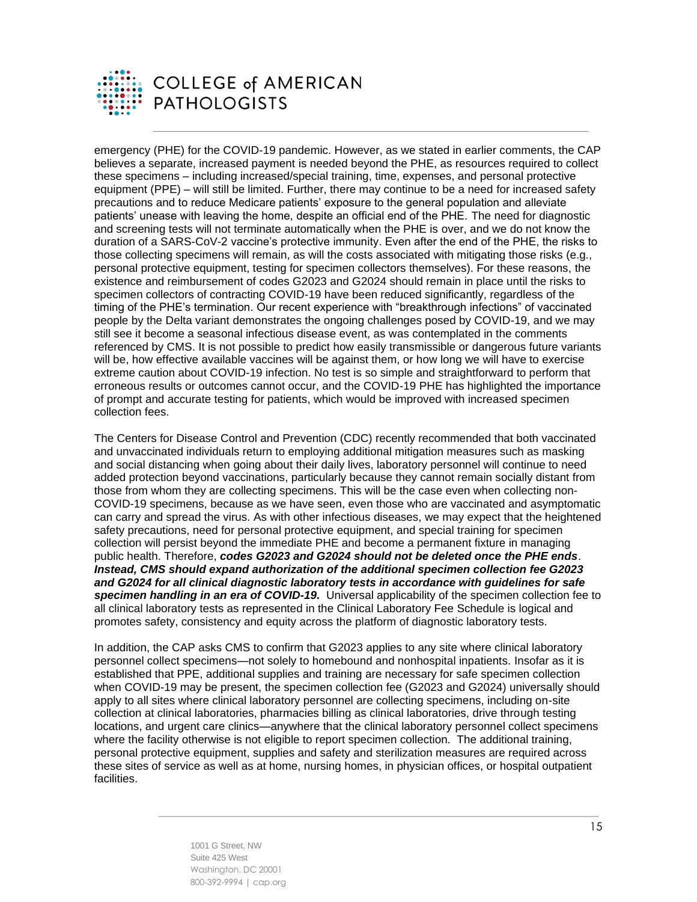

emergency (PHE) for the COVID-19 pandemic. However, as we stated in earlier comments, the CAP believes a separate, increased payment is needed beyond the PHE, as resources required to collect these specimens – including increased/special training, time, expenses, and personal protective equipment (PPE) – will still be limited. Further, there may continue to be a need for increased safety precautions and to reduce Medicare patients' exposure to the general population and alleviate patients' unease with leaving the home, despite an official end of the PHE. The need for diagnostic and screening tests will not terminate automatically when the PHE is over, and we do not know the duration of a SARS-CoV-2 vaccine's protective immunity. Even after the end of the PHE, the risks to those collecting specimens will remain, as will the costs associated with mitigating those risks (e.g., personal protective equipment, testing for specimen collectors themselves). For these reasons, the existence and reimbursement of codes G2023 and G2024 should remain in place until the risks to specimen collectors of contracting COVID-19 have been reduced significantly, regardless of the timing of the PHE's termination. Our recent experience with "breakthrough infections" of vaccinated people by the Delta variant demonstrates the ongoing challenges posed by COVID-19, and we may still see it become a seasonal infectious disease event, as was contemplated in the comments referenced by CMS. It is not possible to predict how easily transmissible or dangerous future variants will be, how effective available vaccines will be against them, or how long we will have to exercise extreme caution about COVID-19 infection. No test is so simple and straightforward to perform that erroneous results or outcomes cannot occur, and the COVID-19 PHE has highlighted the importance of prompt and accurate testing for patients, which would be improved with increased specimen collection fees.

The Centers for Disease Control and Prevention (CDC) recently recommended that both vaccinated and unvaccinated individuals return to employing additional mitigation measures such as masking and social distancing when going about their daily lives, laboratory personnel will continue to need added protection beyond vaccinations, particularly because they cannot remain socially distant from those from whom they are collecting specimens. This will be the case even when collecting non-COVID-19 specimens, because as we have seen, even those who are vaccinated and asymptomatic can carry and spread the virus. As with other infectious diseases, we may expect that the heightened safety precautions, need for personal protective equipment, and special training for specimen collection will persist beyond the immediate PHE and become a permanent fixture in managing public health. Therefore, *codes G2023 and G2024 should not be deleted once the PHE ends*. *Instead, CMS should expand authorization of the additional specimen collection fee G2023 and G2024 for all clinical diagnostic laboratory tests in accordance with guidelines for safe specimen handling in an era of COVID-19.* Universal applicability of the specimen collection fee to all clinical laboratory tests as represented in the Clinical Laboratory Fee Schedule is logical and promotes safety, consistency and equity across the platform of diagnostic laboratory tests.

In addition, the CAP asks CMS to confirm that G2023 applies to any site where clinical laboratory personnel collect specimens—not solely to homebound and nonhospital inpatients. Insofar as it is established that PPE, additional supplies and training are necessary for safe specimen collection when COVID-19 may be present, the specimen collection fee (G2023 and G2024) universally should apply to all sites where clinical laboratory personnel are collecting specimens, including on-site collection at clinical laboratories, pharmacies billing as clinical laboratories, drive through testing locations, and urgent care clinics—anywhere that the clinical laboratory personnel collect specimens where the facility otherwise is not eligible to report specimen collection. The additional training, personal protective equipment, supplies and safety and sterilization measures are required across these sites of service as well as at home, nursing homes, in physician offices, or hospital outpatient facilities.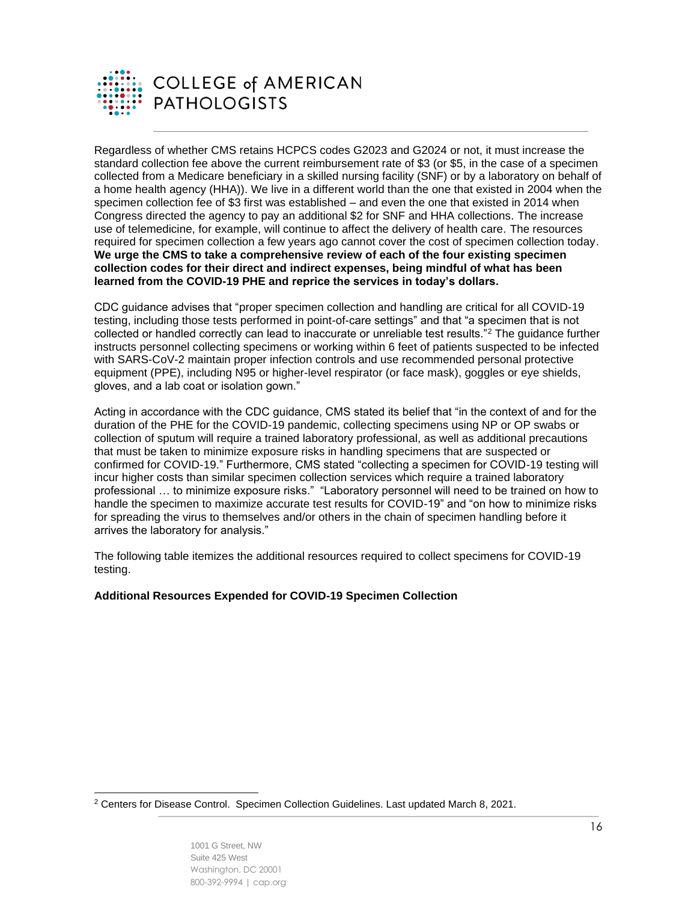

Regardless of whether CMS retains HCPCS codes G2023 and G2024 or not, it must increase the standard collection fee above the current reimbursement rate of \$3 (or \$5, in the case of a specimen collected from a Medicare beneficiary in a skilled nursing facility (SNF) or by a laboratory on behalf of a home health agency (HHA)). We live in a different world than the one that existed in 2004 when the specimen collection fee of \$3 first was established – and even the one that existed in 2014 when Congress directed the agency to pay an additional \$2 for SNF and HHA collections. The increase use of telemedicine, for example, will continue to affect the delivery of health care. The resources required for specimen collection a few years ago cannot cover the cost of specimen collection today. **We urge the CMS to take a comprehensive review of each of the four existing specimen collection codes for their direct and indirect expenses, being mindful of what has been learned from the COVID-19 PHE and reprice the services in today's dollars.**

CDC guidance advises that "proper specimen collection and handling are critical for all COVID-19 testing, including those tests performed in point-of-care settings" and that "a specimen that is not collected or handled correctly can lead to inaccurate or unreliable test results."<sup>2</sup> The guidance further instructs personnel collecting specimens or working within 6 feet of patients suspected to be infected with SARS-CoV-2 maintain proper infection controls and use recommended personal protective equipment (PPE), including N95 or higher-level respirator (or face mask), goggles or eye shields, gloves, and a lab coat or isolation gown."

Acting in accordance with the CDC guidance, CMS stated its belief that "in the context of and for the duration of the PHE for the COVID-19 pandemic, collecting specimens using NP or OP swabs or collection of sputum will require a trained laboratory professional, as well as additional precautions that must be taken to minimize exposure risks in handling specimens that are suspected or confirmed for COVID-19." Furthermore, CMS stated "collecting a specimen for COVID-19 testing will incur higher costs than similar specimen collection services which require a trained laboratory professional … to minimize exposure risks." "Laboratory personnel will need to be trained on how to handle the specimen to maximize accurate test results for COVID-19" and "on how to minimize risks for spreading the virus to themselves and/or others in the chain of specimen handling before it arrives the laboratory for analysis."

The following table itemizes the additional resources required to collect specimens for COVID-19 testing.

#### **Additional Resources Expended for COVID-19 Specimen Collection**

<sup>2</sup> Centers for Disease Control. Specimen Collection Guidelines. Last updated March 8, 2021.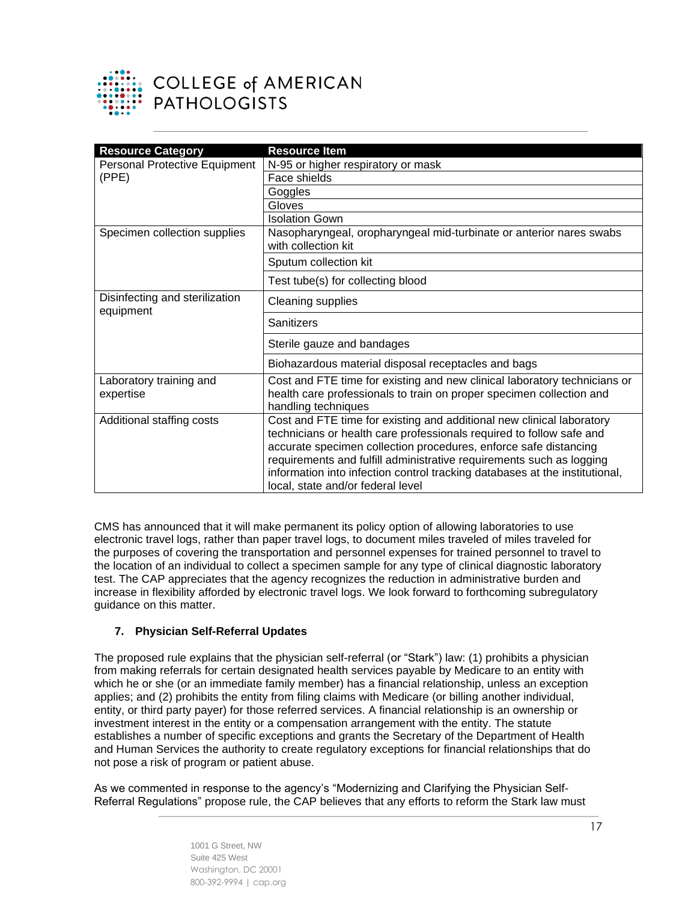

# **COLLEGE of AMERICAN PATHOLOGISTS**

| <b>Resource Category</b>                    | <b>Resource Item</b>                                                                                                                                                                                                                                                                                                                                                                                          |
|---------------------------------------------|---------------------------------------------------------------------------------------------------------------------------------------------------------------------------------------------------------------------------------------------------------------------------------------------------------------------------------------------------------------------------------------------------------------|
| <b>Personal Protective Equipment</b>        | N-95 or higher respiratory or mask                                                                                                                                                                                                                                                                                                                                                                            |
| (PPE)                                       | Face shields                                                                                                                                                                                                                                                                                                                                                                                                  |
|                                             | Goggles                                                                                                                                                                                                                                                                                                                                                                                                       |
|                                             | Gloves                                                                                                                                                                                                                                                                                                                                                                                                        |
|                                             | <b>Isolation Gown</b>                                                                                                                                                                                                                                                                                                                                                                                         |
| Specimen collection supplies                | Nasopharyngeal, oropharyngeal mid-turbinate or anterior nares swabs<br>with collection kit                                                                                                                                                                                                                                                                                                                    |
|                                             | Sputum collection kit                                                                                                                                                                                                                                                                                                                                                                                         |
|                                             | Test tube(s) for collecting blood                                                                                                                                                                                                                                                                                                                                                                             |
| Disinfecting and sterilization<br>equipment | <b>Cleaning supplies</b>                                                                                                                                                                                                                                                                                                                                                                                      |
|                                             | Sanitizers                                                                                                                                                                                                                                                                                                                                                                                                    |
|                                             | Sterile gauze and bandages                                                                                                                                                                                                                                                                                                                                                                                    |
|                                             | Biohazardous material disposal receptacles and bags                                                                                                                                                                                                                                                                                                                                                           |
| Laboratory training and<br>expertise        | Cost and FTE time for existing and new clinical laboratory technicians or<br>health care professionals to train on proper specimen collection and<br>handling techniques                                                                                                                                                                                                                                      |
| Additional staffing costs                   | Cost and FTE time for existing and additional new clinical laboratory<br>technicians or health care professionals required to follow safe and<br>accurate specimen collection procedures, enforce safe distancing<br>requirements and fulfill administrative requirements such as logging<br>information into infection control tracking databases at the institutional,<br>local, state and/or federal level |

CMS has announced that it will make permanent its policy option of allowing laboratories to use electronic travel logs, rather than paper travel logs, to document miles traveled of miles traveled for the purposes of covering the transportation and personnel expenses for trained personnel to travel to the location of an individual to collect a specimen sample for any type of clinical diagnostic laboratory test. The CAP appreciates that the agency recognizes the reduction in administrative burden and increase in flexibility afforded by electronic travel logs. We look forward to forthcoming subregulatory guidance on this matter.

# **7. Physician Self-Referral Updates**

The proposed rule explains that the physician self-referral (or "Stark") law: (1) prohibits a physician from making referrals for certain designated health services payable by Medicare to an entity with which he or she (or an immediate family member) has a financial relationship, unless an exception applies; and (2) prohibits the entity from filing claims with Medicare (or billing another individual, entity, or third party payer) for those referred services. A financial relationship is an ownership or investment interest in the entity or a compensation arrangement with the entity. The statute establishes a number of specific exceptions and grants the Secretary of the Department of Health and Human Services the authority to create regulatory exceptions for financial relationships that do not pose a risk of program or patient abuse.

As we commented in response to the agency's "Modernizing and Clarifying the Physician Self-Referral Regulations" propose rule, the CAP believes that any efforts to reform the Stark law must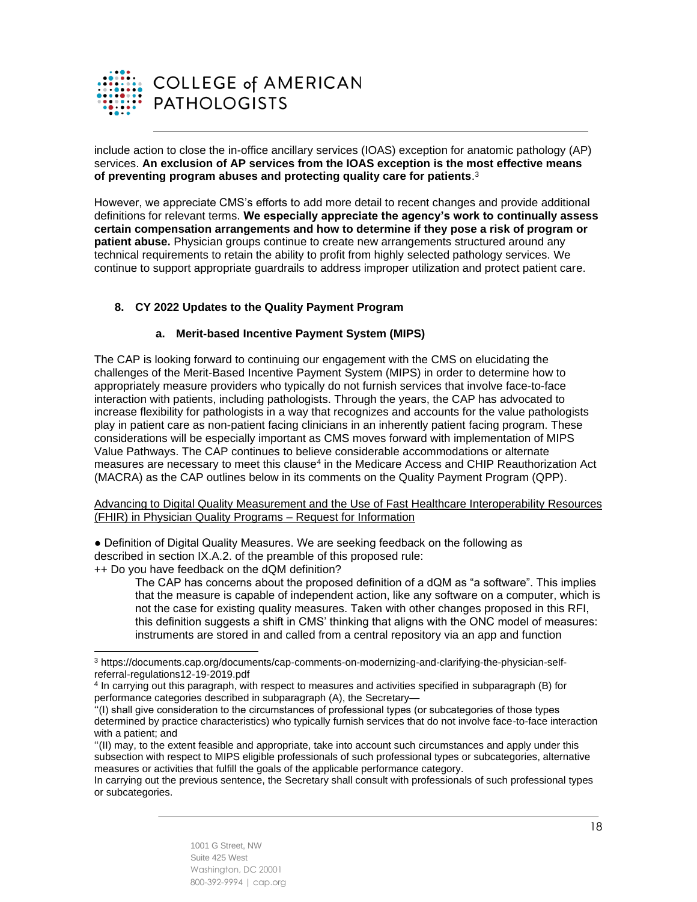

include action to close the in-office ancillary services (IOAS) exception for anatomic pathology (AP) services. **An exclusion of AP services from the IOAS exception is the most effective means of preventing program abuses and protecting quality care for patients**. 3

However, we appreciate CMS's efforts to add more detail to recent changes and provide additional definitions for relevant terms. **We especially appreciate the agency's work to continually assess certain compensation arrangements and how to determine if they pose a risk of program or patient abuse.** Physician groups continue to create new arrangements structured around any technical requirements to retain the ability to profit from highly selected pathology services. We continue to support appropriate guardrails to address improper utilization and protect patient care.

# **8. CY 2022 Updates to the Quality Payment Program**

#### **a. Merit-based Incentive Payment System (MIPS)**

The CAP is looking forward to continuing our engagement with the CMS on elucidating the challenges of the Merit-Based Incentive Payment System (MIPS) in order to determine how to appropriately measure providers who typically do not furnish services that involve face-to-face interaction with patients, including pathologists. Through the years, the CAP has advocated to increase flexibility for pathologists in a way that recognizes and accounts for the value pathologists play in patient care as non-patient facing clinicians in an inherently patient facing program. These considerations will be especially important as CMS moves forward with implementation of MIPS Value Pathways. The CAP continues to believe considerable accommodations or alternate measures are necessary to meet this clause<sup>4</sup> in the Medicare Access and CHIP Reauthorization Act (MACRA) as the CAP outlines below in its comments on the Quality Payment Program (QPP).

Advancing to Digital Quality Measurement and the Use of Fast Healthcare Interoperability Resources (FHIR) in Physician Quality Programs – Request for Information

● Definition of Digital Quality Measures. We are seeking feedback on the following as described in section IX.A.2. of the preamble of this proposed rule: ++ Do you have feedback on the dQM definition?

The CAP has concerns about the proposed definition of a dQM as "a software". This implies that the measure is capable of independent action, like any software on a computer, which is not the case for existing quality measures. Taken with other changes proposed in this RFI, this definition suggests a shift in CMS' thinking that aligns with the ONC model of measures: instruments are stored in and called from a central repository via an app and function

<sup>3</sup> [https://documents.cap.org/documents/cap-comments-on-modernizing-and-clarifying-the-physician-self](https://documents.cap.org/documents/cap-comments-on-modernizing-and-clarifying-the-physician-self-referral-regulations12-19-2019.pdf)[referral-regulations12-19-2019.pdf](https://documents.cap.org/documents/cap-comments-on-modernizing-and-clarifying-the-physician-self-referral-regulations12-19-2019.pdf)

<sup>4</sup> In carrying out this paragraph, with respect to measures and activities specified in subparagraph (B) for performance categories described in subparagraph (A), the Secretary—

<sup>&#</sup>x27;'(I) shall give consideration to the circumstances of professional types (or subcategories of those types determined by practice characteristics) who typically furnish services that do not involve face-to-face interaction with a patient; and

<sup>&#</sup>x27;'(II) may, to the extent feasible and appropriate, take into account such circumstances and apply under this subsection with respect to MIPS eligible professionals of such professional types or subcategories, alternative measures or activities that fulfill the goals of the applicable performance category.

In carrying out the previous sentence, the Secretary shall consult with professionals of such professional types or subcategories.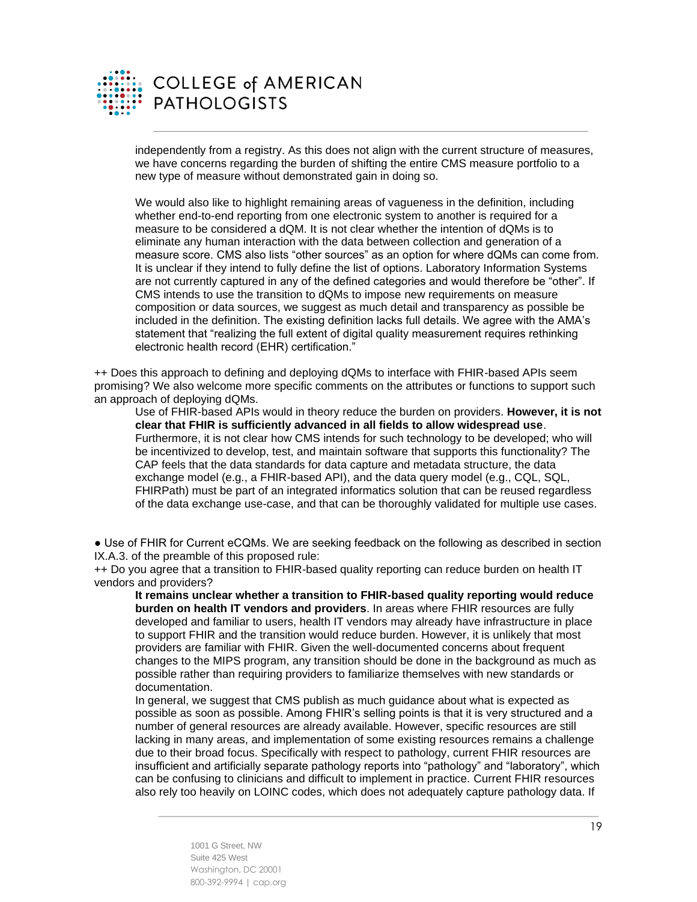

independently from a registry. As this does not align with the current structure of measures, we have concerns regarding the burden of shifting the entire CMS measure portfolio to a new type of measure without demonstrated gain in doing so.

We would also like to highlight remaining areas of vagueness in the definition, including whether end-to-end reporting from one electronic system to another is required for a measure to be considered a dQM. It is not clear whether the intention of dQMs is to eliminate any human interaction with the data between collection and generation of a measure score. CMS also lists "other sources" as an option for where dQMs can come from. It is unclear if they intend to fully define the list of options. Laboratory Information Systems are not currently captured in any of the defined categories and would therefore be "other". If CMS intends to use the transition to dQMs to impose new requirements on measure composition or data sources, we suggest as much detail and transparency as possible be included in the definition. The existing definition lacks full details. We agree with the AMA's statement that "realizing the full extent of digital quality measurement requires rethinking electronic health record (EHR) certification."

++ Does this approach to defining and deploying dQMs to interface with FHIR-based APIs seem promising? We also welcome more specific comments on the attributes or functions to support such an approach of deploying dQMs.

Use of FHIR-based APIs would in theory reduce the burden on providers. **However, it is not clear that FHIR is sufficiently advanced in all fields to allow widespread use**.

Furthermore, it is not clear how CMS intends for such technology to be developed; who will be incentivized to develop, test, and maintain software that supports this functionality? The CAP feels that the data standards for data capture and metadata structure, the data exchange model (e.g., a FHIR-based API), and the data query model (e.g., CQL, SQL, FHIRPath) must be part of an integrated informatics solution that can be reused regardless of the data exchange use-case, and that can be thoroughly validated for multiple use cases.

● Use of FHIR for Current eCQMs. We are seeking feedback on the following as described in section IX.A.3. of the preamble of this proposed rule:

++ Do you agree that a transition to FHIR-based quality reporting can reduce burden on health IT vendors and providers?

**It remains unclear whether a transition to FHIR-based quality reporting would reduce burden on health IT vendors and providers**. In areas where FHIR resources are fully developed and familiar to users, health IT vendors may already have infrastructure in place to support FHIR and the transition would reduce burden. However, it is unlikely that most providers are familiar with FHIR. Given the well-documented concerns about frequent changes to the MIPS program, any transition should be done in the background as much as possible rather than requiring providers to familiarize themselves with new standards or documentation.

In general, we suggest that CMS publish as much guidance about what is expected as possible as soon as possible. Among FHIR's selling points is that it is very structured and a number of general resources are already available. However, specific resources are still lacking in many areas, and implementation of some existing resources remains a challenge due to their broad focus. Specifically with respect to pathology, current FHIR resources are insufficient and artificially separate pathology reports into "pathology" and "laboratory", which can be confusing to clinicians and difficult to implement in practice. Current FHIR resources also rely too heavily on LOINC codes, which does not adequately capture pathology data. If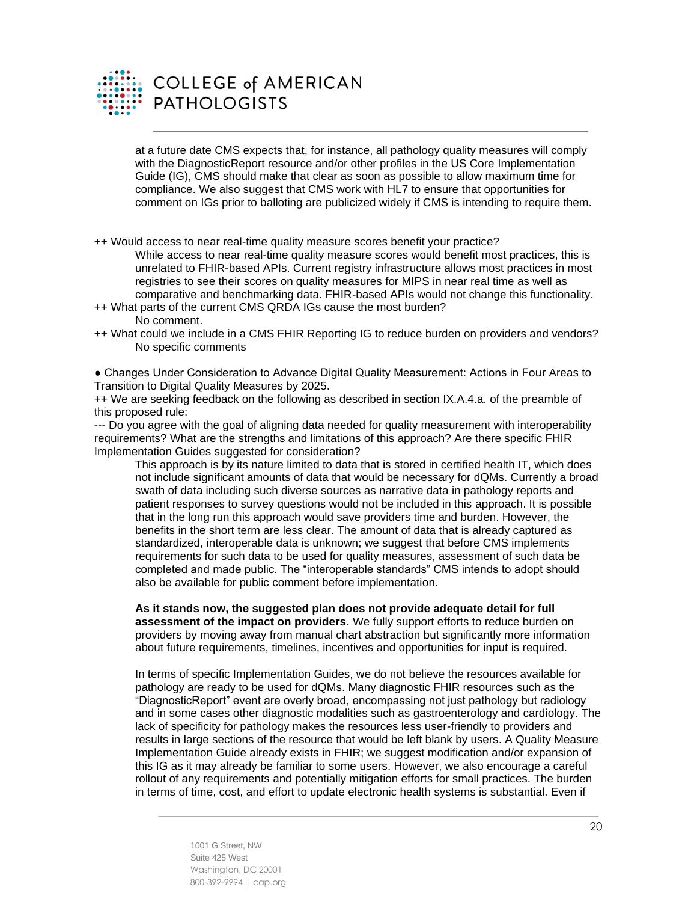

# **COLLEGE of AMERICAN PATHOLOGISTS**

at a future date CMS expects that, for instance, all pathology quality measures will comply with the DiagnosticReport resource and/or other profiles in the US Core Implementation Guide (IG), CMS should make that clear as soon as possible to allow maximum time for compliance. We also suggest that CMS work with HL7 to ensure that opportunities for comment on IGs prior to balloting are publicized widely if CMS is intending to require them.

++ Would access to near real-time quality measure scores benefit your practice?

While access to near real-time quality measure scores would benefit most practices, this is unrelated to FHIR-based APIs. Current registry infrastructure allows most practices in most registries to see their scores on quality measures for MIPS in near real time as well as comparative and benchmarking data. FHIR-based APIs would not change this functionality.

- ++ What parts of the current CMS QRDA IGs cause the most burden? No comment.
- ++ What could we include in a CMS FHIR Reporting IG to reduce burden on providers and vendors? No specific comments

● Changes Under Consideration to Advance Digital Quality Measurement: Actions in Four Areas to Transition to Digital Quality Measures by 2025.

++ We are seeking feedback on the following as described in section IX.A.4.a. of the preamble of this proposed rule:

--- Do you agree with the goal of aligning data needed for quality measurement with interoperability requirements? What are the strengths and limitations of this approach? Are there specific FHIR Implementation Guides suggested for consideration?

This approach is by its nature limited to data that is stored in certified health IT, which does not include significant amounts of data that would be necessary for dQMs. Currently a broad swath of data including such diverse sources as narrative data in pathology reports and patient responses to survey questions would not be included in this approach. It is possible that in the long run this approach would save providers time and burden. However, the benefits in the short term are less clear. The amount of data that is already captured as standardized, interoperable data is unknown; we suggest that before CMS implements requirements for such data to be used for quality measures, assessment of such data be completed and made public. The "interoperable standards" CMS intends to adopt should also be available for public comment before implementation.

**As it stands now, the suggested plan does not provide adequate detail for full assessment of the impact on providers**. We fully support efforts to reduce burden on providers by moving away from manual chart abstraction but significantly more information about future requirements, timelines, incentives and opportunities for input is required.

In terms of specific Implementation Guides, we do not believe the resources available for pathology are ready to be used for dQMs. Many diagnostic FHIR resources such as the "DiagnosticReport" event are overly broad, encompassing not just pathology but radiology and in some cases other diagnostic modalities such as gastroenterology and cardiology. The lack of specificity for pathology makes the resources less user-friendly to providers and results in large sections of the resource that would be left blank by users. A Quality Measure Implementation Guide already exists in FHIR; we suggest modification and/or expansion of this IG as it may already be familiar to some users. However, we also encourage a careful rollout of any requirements and potentially mitigation efforts for small practices. The burden in terms of time, cost, and effort to update electronic health systems is substantial. Even if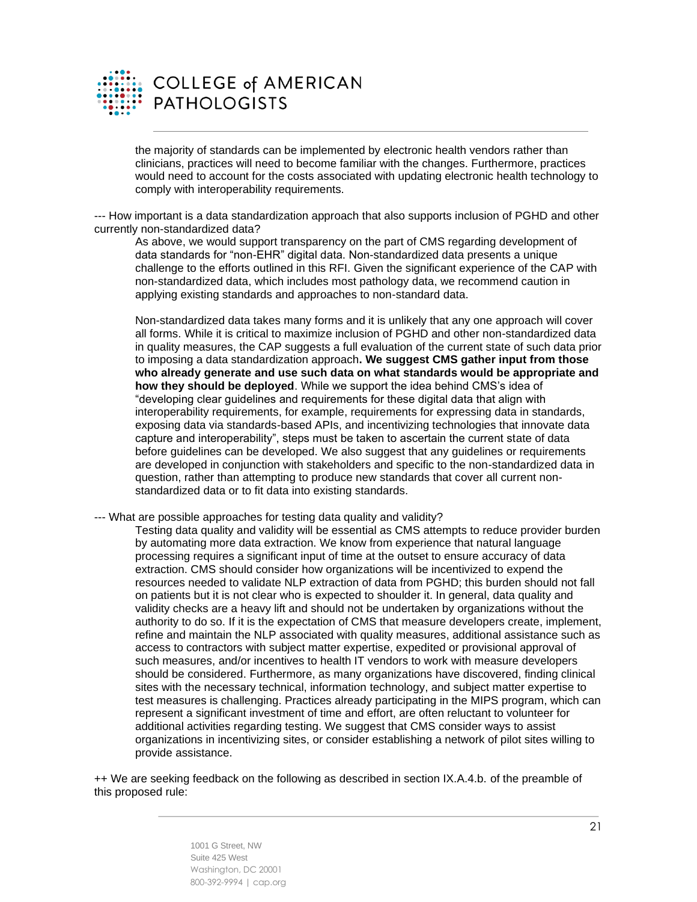

the majority of standards can be implemented by electronic health vendors rather than clinicians, practices will need to become familiar with the changes. Furthermore, practices would need to account for the costs associated with updating electronic health technology to comply with interoperability requirements.

--- How important is a data standardization approach that also supports inclusion of PGHD and other currently non-standardized data?

As above, we would support transparency on the part of CMS regarding development of data standards for "non-EHR" digital data. Non-standardized data presents a unique challenge to the efforts outlined in this RFI. Given the significant experience of the CAP with non-standardized data, which includes most pathology data, we recommend caution in applying existing standards and approaches to non-standard data.

Non-standardized data takes many forms and it is unlikely that any one approach will cover all forms. While it is critical to maximize inclusion of PGHD and other non-standardized data in quality measures, the CAP suggests a full evaluation of the current state of such data prior to imposing a data standardization approach**. We suggest CMS gather input from those who already generate and use such data on what standards would be appropriate and how they should be deployed**. While we support the idea behind CMS's idea of "developing clear guidelines and requirements for these digital data that align with interoperability requirements, for example, requirements for expressing data in standards, exposing data via standards-based APIs, and incentivizing technologies that innovate data capture and interoperability", steps must be taken to ascertain the current state of data before guidelines can be developed. We also suggest that any guidelines or requirements are developed in conjunction with stakeholders and specific to the non-standardized data in question, rather than attempting to produce new standards that cover all current nonstandardized data or to fit data into existing standards.

--- What are possible approaches for testing data quality and validity?

Testing data quality and validity will be essential as CMS attempts to reduce provider burden by automating more data extraction. We know from experience that natural language processing requires a significant input of time at the outset to ensure accuracy of data extraction. CMS should consider how organizations will be incentivized to expend the resources needed to validate NLP extraction of data from PGHD; this burden should not fall on patients but it is not clear who is expected to shoulder it. In general, data quality and validity checks are a heavy lift and should not be undertaken by organizations without the authority to do so. If it is the expectation of CMS that measure developers create, implement, refine and maintain the NLP associated with quality measures, additional assistance such as access to contractors with subject matter expertise, expedited or provisional approval of such measures, and/or incentives to health IT vendors to work with measure developers should be considered. Furthermore, as many organizations have discovered, finding clinical sites with the necessary technical, information technology, and subject matter expertise to test measures is challenging. Practices already participating in the MIPS program, which can represent a significant investment of time and effort, are often reluctant to volunteer for additional activities regarding testing. We suggest that CMS consider ways to assist organizations in incentivizing sites, or consider establishing a network of pilot sites willing to provide assistance.

++ We are seeking feedback on the following as described in section IX.A.4.b. of the preamble of this proposed rule: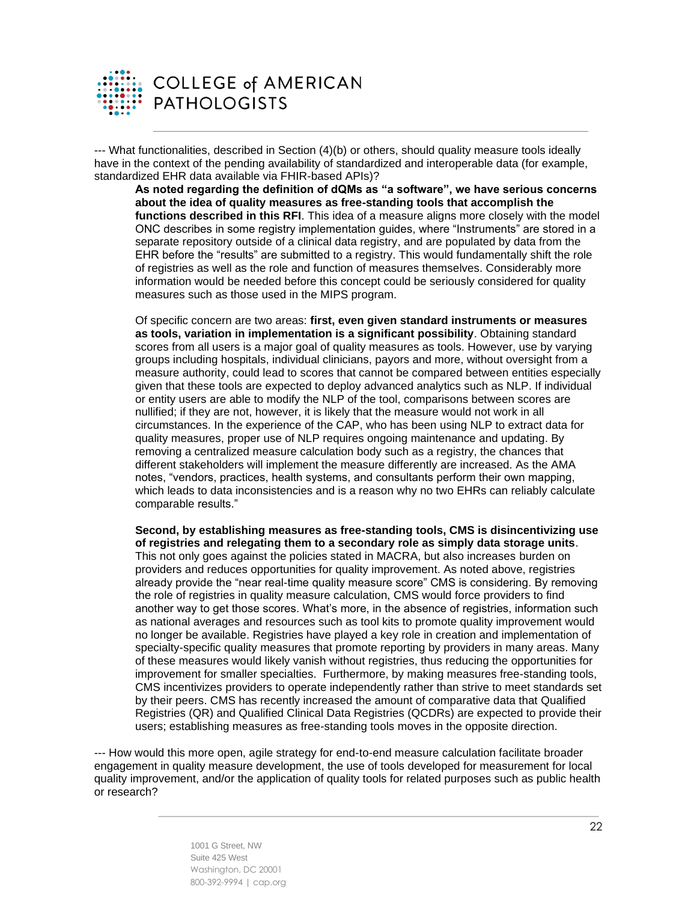

--- What functionalities, described in Section (4)(b) or others, should quality measure tools ideally have in the context of the pending availability of standardized and interoperable data (for example, standardized EHR data available via FHIR-based APIs)?

**As noted regarding the definition of dQMs as "a software", we have serious concerns about the idea of quality measures as free-standing tools that accomplish the functions described in this RFI**. This idea of a measure aligns more closely with the model ONC describes in some registry implementation guides, where "Instruments" are stored in a separate repository outside of a clinical data registry, and are populated by data from the EHR before the "results" are submitted to a registry. This would fundamentally shift the role of registries as well as the role and function of measures themselves. Considerably more information would be needed before this concept could be seriously considered for quality measures such as those used in the MIPS program.

Of specific concern are two areas: **first, even given standard instruments or measures as tools, variation in implementation is a significant possibility**. Obtaining standard scores from all users is a major goal of quality measures as tools. However, use by varying groups including hospitals, individual clinicians, payors and more, without oversight from a measure authority, could lead to scores that cannot be compared between entities especially given that these tools are expected to deploy advanced analytics such as NLP. If individual or entity users are able to modify the NLP of the tool, comparisons between scores are nullified; if they are not, however, it is likely that the measure would not work in all circumstances. In the experience of the CAP, who has been using NLP to extract data for quality measures, proper use of NLP requires ongoing maintenance and updating. By removing a centralized measure calculation body such as a registry, the chances that different stakeholders will implement the measure differently are increased. As the AMA notes, "vendors, practices, health systems, and consultants perform their own mapping, which leads to data inconsistencies and is a reason why no two EHRs can reliably calculate comparable results."

**Second, by establishing measures as free-standing tools, CMS is disincentivizing use of registries and relegating them to a secondary role as simply data storage units**. This not only goes against the policies stated in MACRA, but also increases burden on providers and reduces opportunities for quality improvement. As noted above, registries already provide the "near real-time quality measure score" CMS is considering. By removing the role of registries in quality measure calculation, CMS would force providers to find another way to get those scores. What's more, in the absence of registries, information such as national averages and resources such as tool kits to promote quality improvement would no longer be available. Registries have played a key role in creation and implementation of specialty-specific quality measures that promote reporting by providers in many areas. Many of these measures would likely vanish without registries, thus reducing the opportunities for improvement for smaller specialties. Furthermore, by making measures free-standing tools, CMS incentivizes providers to operate independently rather than strive to meet standards set by their peers. CMS has recently increased the amount of comparative data that Qualified Registries (QR) and Qualified Clinical Data Registries (QCDRs) are expected to provide their users; establishing measures as free-standing tools moves in the opposite direction.

--- How would this more open, agile strategy for end-to-end measure calculation facilitate broader engagement in quality measure development, the use of tools developed for measurement for local quality improvement, and/or the application of quality tools for related purposes such as public health or research?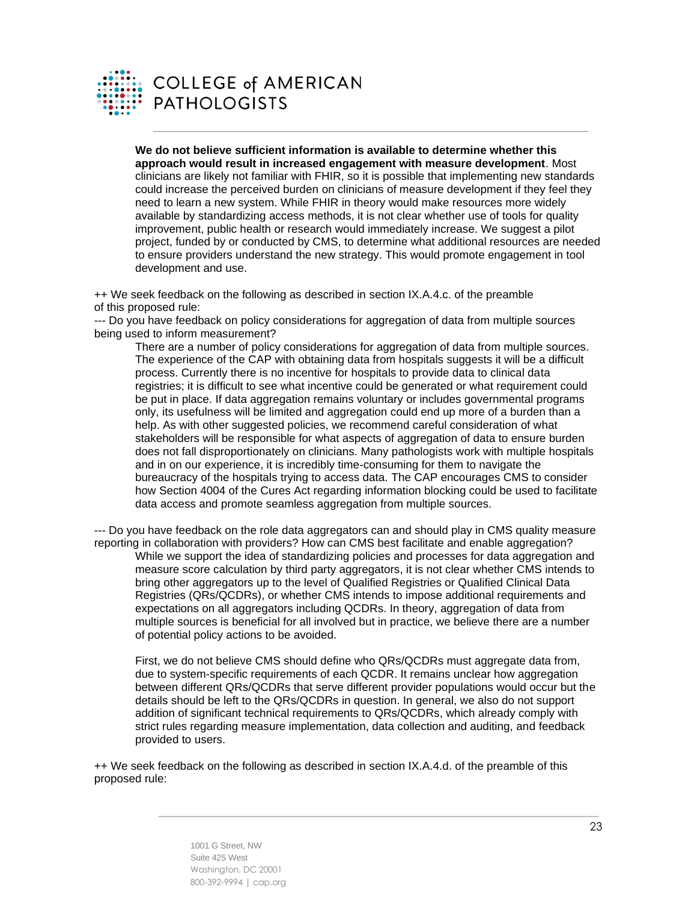

**We do not believe sufficient information is available to determine whether this approach would result in increased engagement with measure development**. Most clinicians are likely not familiar with FHIR, so it is possible that implementing new standards could increase the perceived burden on clinicians of measure development if they feel they need to learn a new system. While FHIR in theory would make resources more widely available by standardizing access methods, it is not clear whether use of tools for quality improvement, public health or research would immediately increase. We suggest a pilot project, funded by or conducted by CMS, to determine what additional resources are needed to ensure providers understand the new strategy. This would promote engagement in tool development and use.

++ We seek feedback on the following as described in section IX.A.4.c. of the preamble of this proposed rule:

--- Do you have feedback on policy considerations for aggregation of data from multiple sources being used to inform measurement?

There are a number of policy considerations for aggregation of data from multiple sources. The experience of the CAP with obtaining data from hospitals suggests it will be a difficult process. Currently there is no incentive for hospitals to provide data to clinical data registries; it is difficult to see what incentive could be generated or what requirement could be put in place. If data aggregation remains voluntary or includes governmental programs only, its usefulness will be limited and aggregation could end up more of a burden than a help. As with other suggested policies, we recommend careful consideration of what stakeholders will be responsible for what aspects of aggregation of data to ensure burden does not fall disproportionately on clinicians. Many pathologists work with multiple hospitals and in on our experience, it is incredibly time-consuming for them to navigate the bureaucracy of the hospitals trying to access data. The CAP encourages CMS to consider how Section 4004 of the Cures Act regarding information blocking could be used to facilitate data access and promote seamless aggregation from multiple sources.

--- Do you have feedback on the role data aggregators can and should play in CMS quality measure reporting in collaboration with providers? How can CMS best facilitate and enable aggregation? While we support the idea of standardizing policies and processes for data aggregation and measure score calculation by third party aggregators, it is not clear whether CMS intends to bring other aggregators up to the level of Qualified Registries or Qualified Clinical Data Registries (QRs/QCDRs), or whether CMS intends to impose additional requirements and expectations on all aggregators including QCDRs. In theory, aggregation of data from multiple sources is beneficial for all involved but in practice, we believe there are a number of potential policy actions to be avoided.

First, we do not believe CMS should define who QRs/QCDRs must aggregate data from, due to system-specific requirements of each QCDR. It remains unclear how aggregation between different QRs/QCDRs that serve different provider populations would occur but the details should be left to the QRs/QCDRs in question. In general, we also do not support addition of significant technical requirements to QRs/QCDRs, which already comply with strict rules regarding measure implementation, data collection and auditing, and feedback provided to users.

++ We seek feedback on the following as described in section IX.A.4.d. of the preamble of this proposed rule: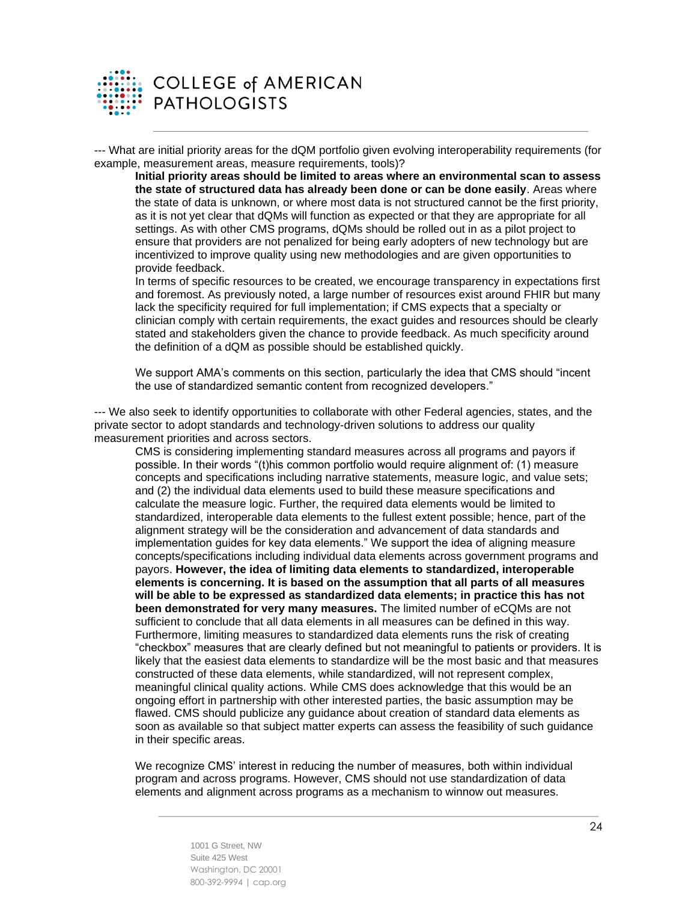

--- What are initial priority areas for the dQM portfolio given evolving interoperability requirements (for example, measurement areas, measure requirements, tools)?

**Initial priority areas should be limited to areas where an environmental scan to assess the state of structured data has already been done or can be done easily**. Areas where the state of data is unknown, or where most data is not structured cannot be the first priority, as it is not yet clear that dQMs will function as expected or that they are appropriate for all settings. As with other CMS programs, dQMs should be rolled out in as a pilot project to ensure that providers are not penalized for being early adopters of new technology but are incentivized to improve quality using new methodologies and are given opportunities to provide feedback.

In terms of specific resources to be created, we encourage transparency in expectations first and foremost. As previously noted, a large number of resources exist around FHIR but many lack the specificity required for full implementation; if CMS expects that a specialty or clinician comply with certain requirements, the exact guides and resources should be clearly stated and stakeholders given the chance to provide feedback. As much specificity around the definition of a dQM as possible should be established quickly.

We support AMA's comments on this section, particularly the idea that CMS should "incent the use of standardized semantic content from recognized developers."

--- We also seek to identify opportunities to collaborate with other Federal agencies, states, and the private sector to adopt standards and technology-driven solutions to address our quality measurement priorities and across sectors.

CMS is considering implementing standard measures across all programs and payors if possible. In their words "(t)his common portfolio would require alignment of: (1) measure concepts and specifications including narrative statements, measure logic, and value sets; and (2) the individual data elements used to build these measure specifications and calculate the measure logic. Further, the required data elements would be limited to standardized, interoperable data elements to the fullest extent possible; hence, part of the alignment strategy will be the consideration and advancement of data standards and implementation guides for key data elements." We support the idea of aligning measure concepts/specifications including individual data elements across government programs and payors. **However, the idea of limiting data elements to standardized, interoperable elements is concerning. It is based on the assumption that all parts of all measures will be able to be expressed as standardized data elements; in practice this has not been demonstrated for very many measures.** The limited number of eCQMs are not sufficient to conclude that all data elements in all measures can be defined in this way. Furthermore, limiting measures to standardized data elements runs the risk of creating "checkbox" measures that are clearly defined but not meaningful to patients or providers. It is likely that the easiest data elements to standardize will be the most basic and that measures constructed of these data elements, while standardized, will not represent complex, meaningful clinical quality actions. While CMS does acknowledge that this would be an ongoing effort in partnership with other interested parties, the basic assumption may be flawed. CMS should publicize any guidance about creation of standard data elements as soon as available so that subject matter experts can assess the feasibility of such guidance in their specific areas.

We recognize CMS' interest in reducing the number of measures, both within individual program and across programs. However, CMS should not use standardization of data elements and alignment across programs as a mechanism to winnow out measures.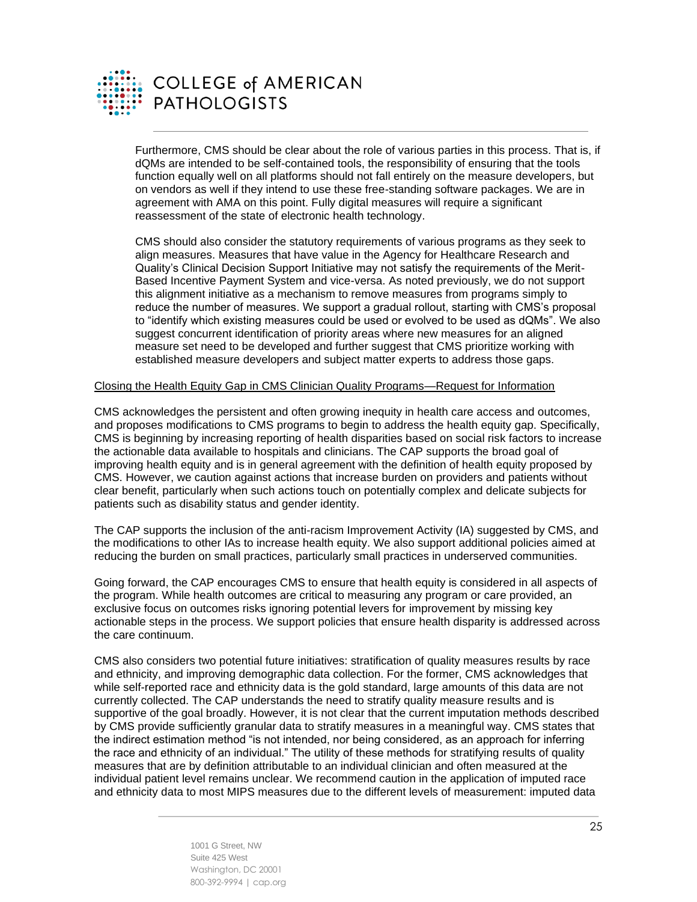

# **COLLEGE of AMERICAN PATHOLOGISTS**

Furthermore, CMS should be clear about the role of various parties in this process. That is, if dQMs are intended to be self-contained tools, the responsibility of ensuring that the tools function equally well on all platforms should not fall entirely on the measure developers, but on vendors as well if they intend to use these free-standing software packages. We are in agreement with AMA on this point. Fully digital measures will require a significant reassessment of the state of electronic health technology.

CMS should also consider the statutory requirements of various programs as they seek to align measures. Measures that have value in the Agency for Healthcare Research and Quality's Clinical Decision Support Initiative may not satisfy the requirements of the Merit-Based Incentive Payment System and vice-versa. As noted previously, we do not support this alignment initiative as a mechanism to remove measures from programs simply to reduce the number of measures. We support a gradual rollout, starting with CMS's proposal to "identify which existing measures could be used or evolved to be used as dQMs". We also suggest concurrent identification of priority areas where new measures for an aligned measure set need to be developed and further suggest that CMS prioritize working with established measure developers and subject matter experts to address those gaps.

#### Closing the Health Equity Gap in CMS Clinician Quality Programs—Request for Information

CMS acknowledges the persistent and often growing inequity in health care access and outcomes, and proposes modifications to CMS programs to begin to address the health equity gap. Specifically, CMS is beginning by increasing reporting of health disparities based on social risk factors to increase the actionable data available to hospitals and clinicians. The CAP supports the broad goal of improving health equity and is in general agreement with the definition of health equity proposed by CMS. However, we caution against actions that increase burden on providers and patients without clear benefit, particularly when such actions touch on potentially complex and delicate subjects for patients such as disability status and gender identity.

The CAP supports the inclusion of the anti-racism Improvement Activity (IA) suggested by CMS, and the modifications to other IAs to increase health equity. We also support additional policies aimed at reducing the burden on small practices, particularly small practices in underserved communities.

Going forward, the CAP encourages CMS to ensure that health equity is considered in all aspects of the program. While health outcomes are critical to measuring any program or care provided, an exclusive focus on outcomes risks ignoring potential levers for improvement by missing key actionable steps in the process. We support policies that ensure health disparity is addressed across the care continuum.

CMS also considers two potential future initiatives: stratification of quality measures results by race and ethnicity, and improving demographic data collection. For the former, CMS acknowledges that while self-reported race and ethnicity data is the gold standard, large amounts of this data are not currently collected. The CAP understands the need to stratify quality measure results and is supportive of the goal broadly. However, it is not clear that the current imputation methods described by CMS provide sufficiently granular data to stratify measures in a meaningful way. CMS states that the indirect estimation method "is not intended, nor being considered, as an approach for inferring the race and ethnicity of an individual." The utility of these methods for stratifying results of quality measures that are by definition attributable to an individual clinician and often measured at the individual patient level remains unclear. We recommend caution in the application of imputed race and ethnicity data to most MIPS measures due to the different levels of measurement: imputed data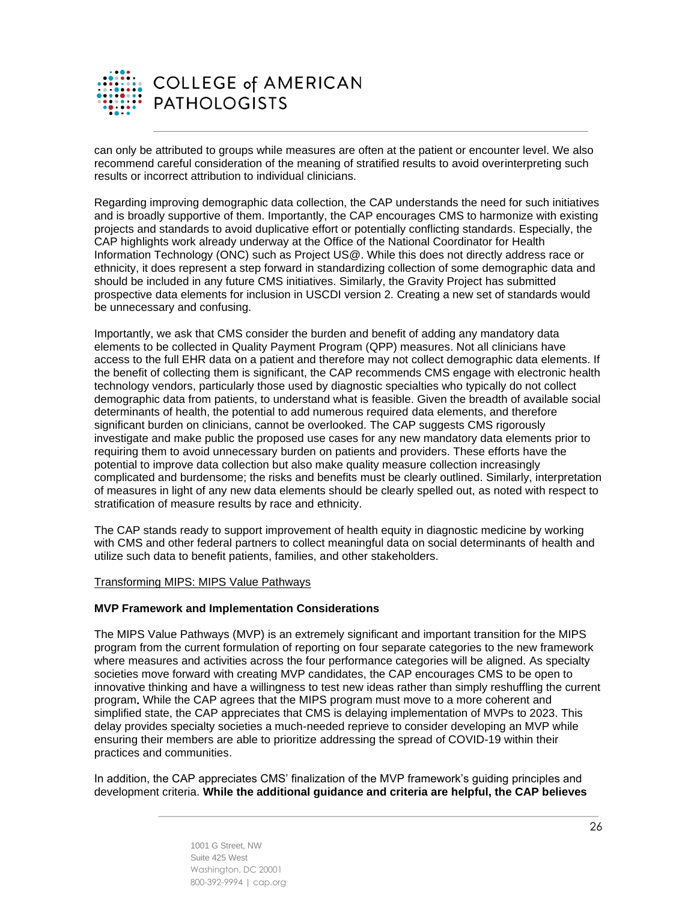

can only be attributed to groups while measures are often at the patient or encounter level. We also recommend careful consideration of the meaning of stratified results to avoid overinterpreting such results or incorrect attribution to individual clinicians.

Regarding improving demographic data collection, the CAP understands the need for such initiatives and is broadly supportive of them. Importantly, the CAP encourages CMS to harmonize with existing projects and standards to avoid duplicative effort or potentially conflicting standards. Especially, the CAP highlights work already underway at the Office of the National Coordinator for Health Information Technology (ONC) such as Project US@. While this does not directly address race or ethnicity, it does represent a step forward in standardizing collection of some demographic data and should be included in any future CMS initiatives. Similarly, the Gravity Project has submitted prospective data elements for inclusion in USCDI version 2. Creating a new set of standards would be unnecessary and confusing.

Importantly, we ask that CMS consider the burden and benefit of adding any mandatory data elements to be collected in Quality Payment Program (QPP) measures. Not all clinicians have access to the full EHR data on a patient and therefore may not collect demographic data elements. If the benefit of collecting them is significant, the CAP recommends CMS engage with electronic health technology vendors, particularly those used by diagnostic specialties who typically do not collect demographic data from patients, to understand what is feasible. Given the breadth of available social determinants of health, the potential to add numerous required data elements, and therefore significant burden on clinicians, cannot be overlooked. The CAP suggests CMS rigorously investigate and make public the proposed use cases for any new mandatory data elements prior to requiring them to avoid unnecessary burden on patients and providers. These efforts have the potential to improve data collection but also make quality measure collection increasingly complicated and burdensome; the risks and benefits must be clearly outlined. Similarly, interpretation of measures in light of any new data elements should be clearly spelled out, as noted with respect to stratification of measure results by race and ethnicity.

The CAP stands ready to support improvement of health equity in diagnostic medicine by working with CMS and other federal partners to collect meaningful data on social determinants of health and utilize such data to benefit patients, families, and other stakeholders.

#### Transforming MIPS: MIPS Value Pathways

#### **MVP Framework and Implementation Considerations**

The MIPS Value Pathways (MVP) is an extremely significant and important transition for the MIPS program from the current formulation of reporting on four separate categories to the new framework where measures and activities across the four performance categories will be aligned. As specialty societies move forward with creating MVP candidates, the CAP encourages CMS to be open to innovative thinking and have a willingness to test new ideas rather than simply reshuffling the current program**.** While the CAP agrees that the MIPS program must move to a more coherent and simplified state, the CAP appreciates that CMS is delaying implementation of MVPs to 2023. This delay provides specialty societies a much-needed reprieve to consider developing an MVP while ensuring their members are able to prioritize addressing the spread of COVID-19 within their practices and communities.

In addition, the CAP appreciates CMS' finalization of the MVP framework's guiding principles and development criteria. **While the additional guidance and criteria are helpful, the CAP believes**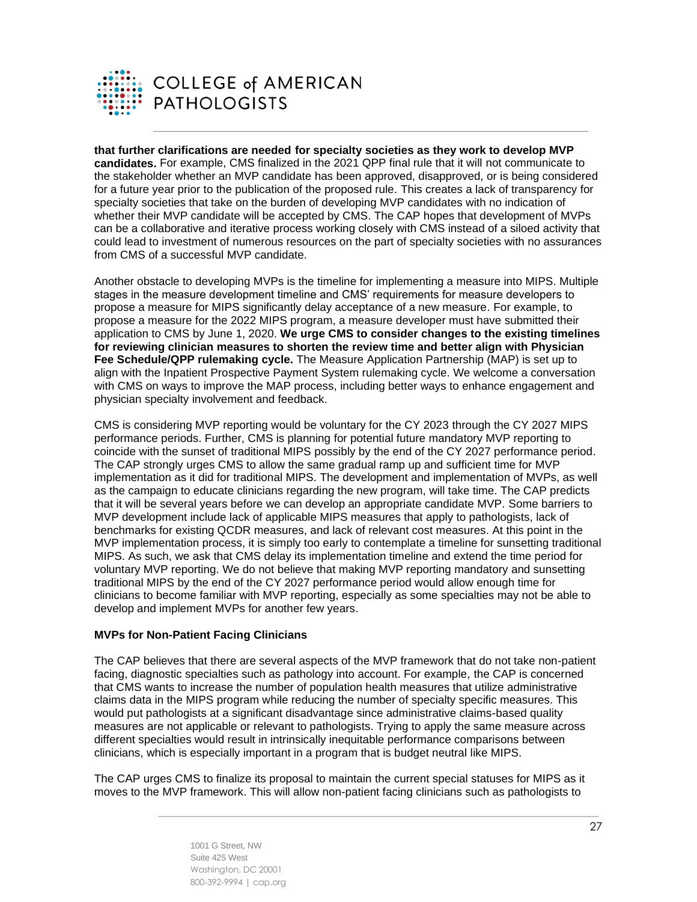

**that further clarifications are needed for specialty societies as they work to develop MVP candidates.** For example, CMS finalized in the 2021 QPP final rule that it will not communicate to the stakeholder whether an MVP candidate has been approved, disapproved, or is being considered for a future year prior to the publication of the proposed rule. This creates a lack of transparency for specialty societies that take on the burden of developing MVP candidates with no indication of whether their MVP candidate will be accepted by CMS. The CAP hopes that development of MVPs can be a collaborative and iterative process working closely with CMS instead of a siloed activity that could lead to investment of numerous resources on the part of specialty societies with no assurances from CMS of a successful MVP candidate.

Another obstacle to developing MVPs is the timeline for implementing a measure into MIPS. Multiple stages in the measure development timeline and CMS' requirements for measure developers to propose a measure for MIPS significantly delay acceptance of a new measure. For example, to propose a measure for the 2022 MIPS program, a measure developer must have submitted their application to CMS by June 1, 2020. **We urge CMS to consider changes to the existing timelines for reviewing clinician measures to shorten the review time and better align with Physician Fee Schedule/QPP rulemaking cycle.** The Measure Application Partnership (MAP) is set up to align with the Inpatient Prospective Payment System rulemaking cycle. We welcome a conversation with CMS on ways to improve the MAP process, including better ways to enhance engagement and physician specialty involvement and feedback.

CMS is considering MVP reporting would be voluntary for the CY 2023 through the CY 2027 MIPS performance periods. Further, CMS is planning for potential future mandatory MVP reporting to coincide with the sunset of traditional MIPS possibly by the end of the CY 2027 performance period. The CAP strongly urges CMS to allow the same gradual ramp up and sufficient time for MVP implementation as it did for traditional MIPS. The development and implementation of MVPs, as well as the campaign to educate clinicians regarding the new program, will take time. The CAP predicts that it will be several years before we can develop an appropriate candidate MVP. Some barriers to MVP development include lack of applicable MIPS measures that apply to pathologists, lack of benchmarks for existing QCDR measures, and lack of relevant cost measures. At this point in the MVP implementation process, it is simply too early to contemplate a timeline for sunsetting traditional MIPS. As such, we ask that CMS delay its implementation timeline and extend the time period for voluntary MVP reporting. We do not believe that making MVP reporting mandatory and sunsetting traditional MIPS by the end of the CY 2027 performance period would allow enough time for clinicians to become familiar with MVP reporting, especially as some specialties may not be able to develop and implement MVPs for another few years.

#### **MVPs for Non-Patient Facing Clinicians**

The CAP believes that there are several aspects of the MVP framework that do not take non-patient facing, diagnostic specialties such as pathology into account. For example, the CAP is concerned that CMS wants to increase the number of population health measures that utilize administrative claims data in the MIPS program while reducing the number of specialty specific measures. This would put pathologists at a significant disadvantage since administrative claims-based quality measures are not applicable or relevant to pathologists. Trying to apply the same measure across different specialties would result in intrinsically inequitable performance comparisons between clinicians, which is especially important in a program that is budget neutral like MIPS.

The CAP urges CMS to finalize its proposal to maintain the current special statuses for MIPS as it moves to the MVP framework. This will allow non-patient facing clinicians such as pathologists to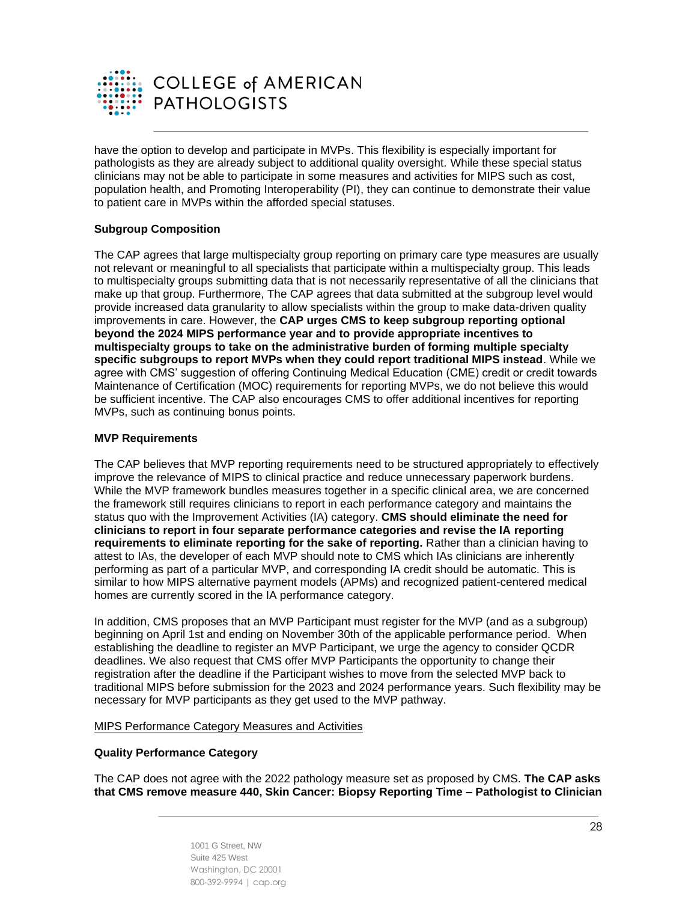

have the option to develop and participate in MVPs. This flexibility is especially important for pathologists as they are already subject to additional quality oversight. While these special status clinicians may not be able to participate in some measures and activities for MIPS such as cost, population health, and Promoting Interoperability (PI), they can continue to demonstrate their value to patient care in MVPs within the afforded special statuses.

# **Subgroup Composition**

The CAP agrees that large multispecialty group reporting on primary care type measures are usually not relevant or meaningful to all specialists that participate within a multispecialty group. This leads to multispecialty groups submitting data that is not necessarily representative of all the clinicians that make up that group. Furthermore, The CAP agrees that data submitted at the subgroup level would provide increased data granularity to allow specialists within the group to make data-driven quality improvements in care. However, the **CAP urges CMS to keep subgroup reporting optional beyond the 2024 MIPS performance year and to provide appropriate incentives to multispecialty groups to take on the administrative burden of forming multiple specialty specific subgroups to report MVPs when they could report traditional MIPS instead**. While we agree with CMS' suggestion of offering Continuing Medical Education (CME) credit or credit towards Maintenance of Certification (MOC) requirements for reporting MVPs, we do not believe this would be sufficient incentive. The CAP also encourages CMS to offer additional incentives for reporting MVPs, such as continuing bonus points.

#### **MVP Requirements**

The CAP believes that MVP reporting requirements need to be structured appropriately to effectively improve the relevance of MIPS to clinical practice and reduce unnecessary paperwork burdens. While the MVP framework bundles measures together in a specific clinical area, we are concerned the framework still requires clinicians to report in each performance category and maintains the status quo with the Improvement Activities (IA) category. **CMS should eliminate the need for clinicians to report in four separate performance categories and revise the IA reporting requirements to eliminate reporting for the sake of reporting.** Rather than a clinician having to attest to IAs, the developer of each MVP should note to CMS which IAs clinicians are inherently performing as part of a particular MVP, and corresponding IA credit should be automatic. This is similar to how MIPS alternative payment models (APMs) and recognized patient-centered medical homes are currently scored in the IA performance category.

In addition, CMS proposes that an MVP Participant must register for the MVP (and as a subgroup) beginning on April 1st and ending on November 30th of the applicable performance period. When establishing the deadline to register an MVP Participant, we urge the agency to consider QCDR deadlines. We also request that CMS offer MVP Participants the opportunity to change their registration after the deadline if the Participant wishes to move from the selected MVP back to traditional MIPS before submission for the 2023 and 2024 performance years. Such flexibility may be necessary for MVP participants as they get used to the MVP pathway.

#### MIPS Performance Category Measures and Activities

#### **Quality Performance Category**

The CAP does not agree with the 2022 pathology measure set as proposed by CMS. **The CAP asks that CMS remove measure 440, Skin Cancer: Biopsy Reporting Time – Pathologist to Clinician**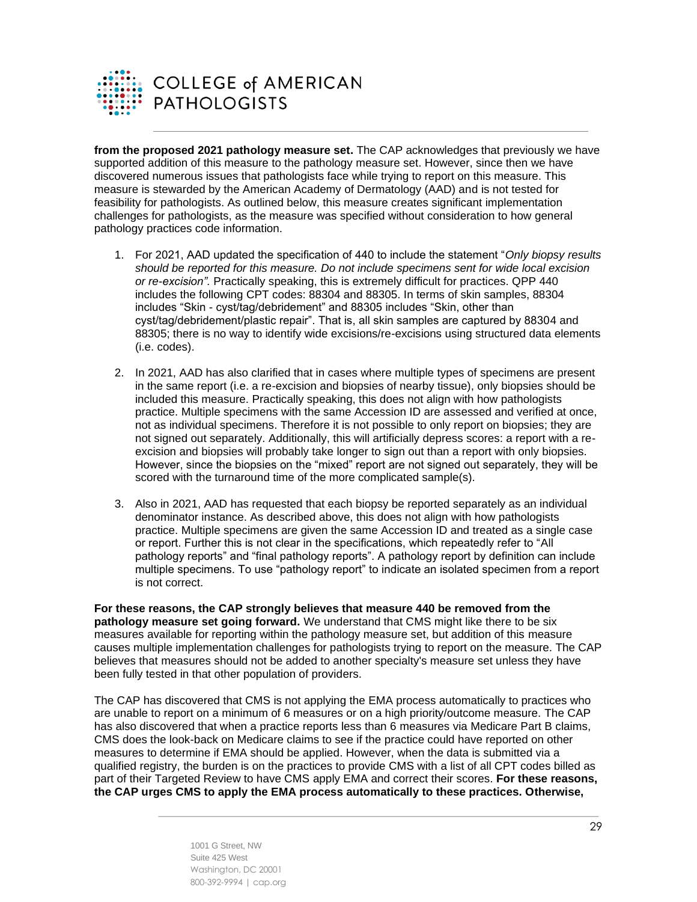

**from the proposed 2021 pathology measure set.** The CAP acknowledges that previously we have supported addition of this measure to the pathology measure set. However, since then we have discovered numerous issues that pathologists face while trying to report on this measure. This measure is stewarded by the American Academy of Dermatology (AAD) and is not tested for feasibility for pathologists. As outlined below, this measure creates significant implementation challenges for pathologists, as the measure was specified without consideration to how general pathology practices code information.

- 1. For 2021, AAD updated the specification of 440 to include the statement "*Only biopsy results should be reported for this measure. Do not include specimens sent for wide local excision or re-excision".* Practically speaking, this is extremely difficult for practices. QPP 440 includes the following CPT codes: 88304 and 88305. In terms of skin samples, 88304 includes "Skin - cyst/tag/debridement" and 88305 includes "Skin, other than cyst/tag/debridement/plastic repair". That is, all skin samples are captured by 88304 and 88305; there is no way to identify wide excisions/re-excisions using structured data elements (i.e. codes).
- 2. In 2021, AAD has also clarified that in cases where multiple types of specimens are present in the same report (i.e. a re-excision and biopsies of nearby tissue), only biopsies should be included this measure. Practically speaking, this does not align with how pathologists practice. Multiple specimens with the same Accession ID are assessed and verified at once, not as individual specimens. Therefore it is not possible to only report on biopsies; they are not signed out separately. Additionally, this will artificially depress scores: a report with a reexcision and biopsies will probably take longer to sign out than a report with only biopsies. However, since the biopsies on the "mixed" report are not signed out separately, they will be scored with the turnaround time of the more complicated sample(s).
- 3. Also in 2021, AAD has requested that each biopsy be reported separately as an individual denominator instance. As described above, this does not align with how pathologists practice. Multiple specimens are given the same Accession ID and treated as a single case or report. Further this is not clear in the specifications, which repeatedly refer to "All pathology reports" and "final pathology reports". A pathology report by definition can include multiple specimens. To use "pathology report" to indicate an isolated specimen from a report is not correct.

**For these reasons, the CAP strongly believes that measure 440 be removed from the pathology measure set going forward.** We understand that CMS might like there to be six measures available for reporting within the pathology measure set, but addition of this measure causes multiple implementation challenges for pathologists trying to report on the measure. The CAP believes that measures should not be added to another specialty's measure set unless they have been fully tested in that other population of providers.

The CAP has discovered that CMS is not applying the EMA process automatically to practices who are unable to report on a minimum of 6 measures or on a high priority/outcome measure. The CAP has also discovered that when a practice reports less than 6 measures via Medicare Part B claims, CMS does the look-back on Medicare claims to see if the practice could have reported on other measures to determine if EMA should be applied. However, when the data is submitted via a qualified registry, the burden is on the practices to provide CMS with a list of all CPT codes billed as part of their Targeted Review to have CMS apply EMA and correct their scores. **For these reasons, the CAP urges CMS to apply the EMA process automatically to these practices. Otherwise,**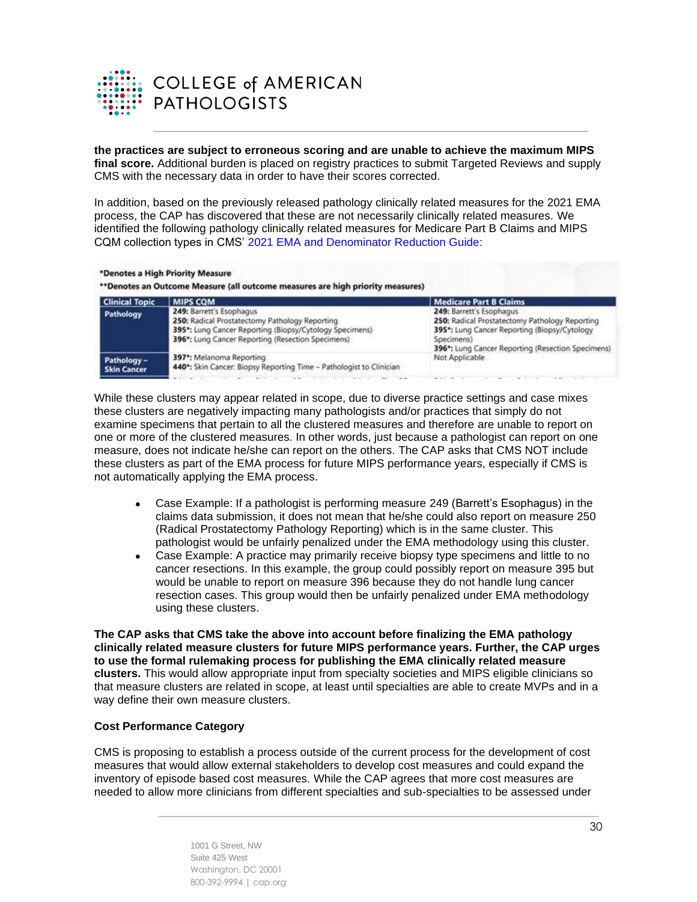

#### **the practices are subject to erroneous scoring and are unable to achieve the maximum MIPS final score.** Additional burden is placed on registry practices to submit Targeted Reviews and supply CMS with the necessary data in order to have their scores corrected.

In addition, based on the previously released pathology clinically related measures for the 2021 EMA process, the CAP has discovered that these are not necessarily clinically related measures. We identified the following pathology clinically related measures for Medicare Part B Claims and MIPS CQM collection types in CMS' [2021 EMA and Denominator Reduction Guide:](https://qpp-cm-prod-content.s3.amazonaws.com/uploads/1533/2021%20EMA%20and%20Denominator%20Reduction%20Guide.pdf)

| <b>Clinical Topic</b>             | <b>MIPS COM</b>                                                                                                                                                                                         | <b>Medicare Part B Claims</b>                                                                                                                                                                  |
|-----------------------------------|---------------------------------------------------------------------------------------------------------------------------------------------------------------------------------------------------------|------------------------------------------------------------------------------------------------------------------------------------------------------------------------------------------------|
| Pathology                         | 249: Barrett's Esophagus<br>250: Radical Prostatectomy Pathology Reporting<br>395*: Lung Cancer Reporting (Biopsy/Cytology Specimens)<br>396 <sup>*</sup> : Lung Cancer Reporting (Resection Specimens) | 249: Barrett's Esophagus<br>250: Radical Prostatectomy Pathology Reporting<br>395*: Lung Cancer Reporting (Biopsy/Cytology)<br>Specimens)<br>396*: Lung Cancer Reporting (Resection Specimens) |
| Pathology -<br><b>Skin Cancer</b> | 397*: Melanoma Reporting<br>440*: Skin Cancer: Biopsy Reporting Time - Pathologist to Clinician                                                                                                         | Not Applicable                                                                                                                                                                                 |
|                                   |                                                                                                                                                                                                         | and the first product of the<br>and the country of<br>the control of the con-<br>the control of the con-                                                                                       |

While these clusters may appear related in scope, due to diverse practice settings and case mixes these clusters are negatively impacting many pathologists and/or practices that simply do not examine specimens that pertain to all the clustered measures and therefore are unable to report on one or more of the clustered measures. In other words, just because a pathologist can report on one measure, does not indicate he/she can report on the others. The CAP asks that CMS NOT include these clusters as part of the EMA process for future MIPS performance years, especially if CMS is not automatically applying the EMA process.

- Case Example: If a pathologist is performing measure 249 (Barrett's Esophagus) in the claims data submission, it does not mean that he/she could also report on measure 250 (Radical Prostatectomy Pathology Reporting) which is in the same cluster. This pathologist would be unfairly penalized under the EMA methodology using this cluster.
- Case Example: A practice may primarily receive biopsy type specimens and little to no cancer resections. In this example, the group could possibly report on measure 395 but would be unable to report on measure 396 because they do not handle lung cancer resection cases. This group would then be unfairly penalized under EMA methodology using these clusters.

**The CAP asks that CMS take the above into account before finalizing the EMA pathology clinically related measure clusters for future MIPS performance years. Further, the CAP urges to use the formal rulemaking process for publishing the EMA clinically related measure clusters.** This would allow appropriate input from specialty societies and MIPS eligible clinicians so that measure clusters are related in scope, at least until specialties are able to create MVPs and in a way define their own measure clusters.

#### **Cost Performance Category**

CMS is proposing to establish a process outside of the current process for the development of cost measures that would allow external stakeholders to develop cost measures and could expand the inventory of episode based cost measures. While the CAP agrees that more cost measures are needed to allow more clinicians from different specialties and sub-specialties to be assessed under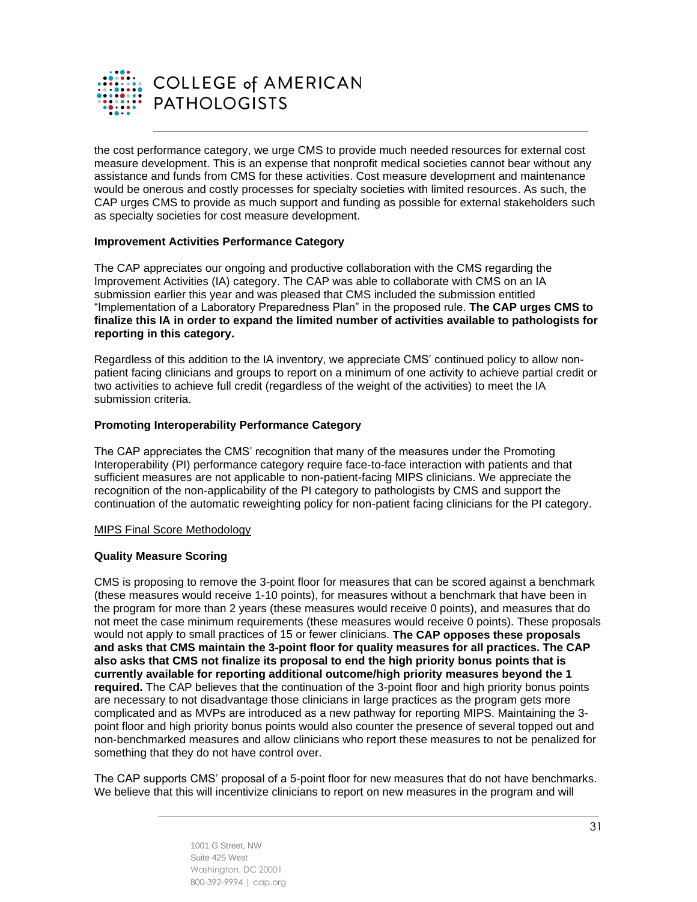

the cost performance category, we urge CMS to provide much needed resources for external cost measure development. This is an expense that nonprofit medical societies cannot bear without any assistance and funds from CMS for these activities. Cost measure development and maintenance would be onerous and costly processes for specialty societies with limited resources. As such, the CAP urges CMS to provide as much support and funding as possible for external stakeholders such as specialty societies for cost measure development.

#### **Improvement Activities Performance Category**

The CAP appreciates our ongoing and productive collaboration with the CMS regarding the Improvement Activities (IA) category. The CAP was able to collaborate with CMS on an IA submission earlier this year and was pleased that CMS included the submission entitled "Implementation of a Laboratory Preparedness Plan" in the proposed rule. **The CAP urges CMS to finalize this IA in order to expand the limited number of activities available to pathologists for reporting in this category.**

Regardless of this addition to the IA inventory, we appreciate CMS' continued policy to allow nonpatient facing clinicians and groups to report on a minimum of one activity to achieve partial credit or two activities to achieve full credit (regardless of the weight of the activities) to meet the IA submission criteria.

#### **Promoting Interoperability Performance Category**

The CAP appreciates the CMS' recognition that many of the measures under the Promoting Interoperability (PI) performance category require face-to-face interaction with patients and that sufficient measures are not applicable to non-patient-facing MIPS clinicians. We appreciate the recognition of the non-applicability of the PI category to pathologists by CMS and support the continuation of the automatic reweighting policy for non-patient facing clinicians for the PI category.

#### MIPS Final Score Methodology

#### **Quality Measure Scoring**

CMS is proposing to remove the 3-point floor for measures that can be scored against a benchmark (these measures would receive 1-10 points), for measures without a benchmark that have been in the program for more than 2 years (these measures would receive 0 points), and measures that do not meet the case minimum requirements (these measures would receive 0 points). These proposals would not apply to small practices of 15 or fewer clinicians. **The CAP opposes these proposals and asks that CMS maintain the 3-point floor for quality measures for all practices. The CAP also asks that CMS not finalize its proposal to end the high priority bonus points that is currently available for reporting additional outcome/high priority measures beyond the 1 required.** The CAP believes that the continuation of the 3-point floor and high priority bonus points are necessary to not disadvantage those clinicians in large practices as the program gets more complicated and as MVPs are introduced as a new pathway for reporting MIPS. Maintaining the 3 point floor and high priority bonus points would also counter the presence of several topped out and non-benchmarked measures and allow clinicians who report these measures to not be penalized for something that they do not have control over.

The CAP supports CMS' proposal of a 5-point floor for new measures that do not have benchmarks. We believe that this will incentivize clinicians to report on new measures in the program and will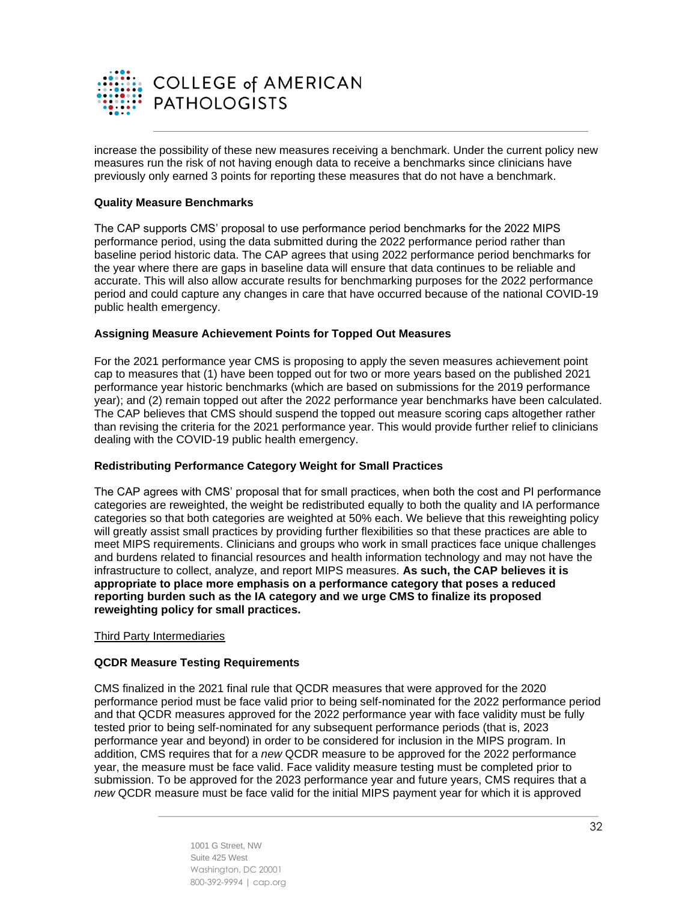

increase the possibility of these new measures receiving a benchmark. Under the current policy new measures run the risk of not having enough data to receive a benchmarks since clinicians have previously only earned 3 points for reporting these measures that do not have a benchmark.

### **Quality Measure Benchmarks**

The CAP supports CMS' proposal to use performance period benchmarks for the 2022 MIPS performance period, using the data submitted during the 2022 performance period rather than baseline period historic data. The CAP agrees that using 2022 performance period benchmarks for the year where there are gaps in baseline data will ensure that data continues to be reliable and accurate. This will also allow accurate results for benchmarking purposes for the 2022 performance period and could capture any changes in care that have occurred because of the national COVID-19 public health emergency.

## **Assigning Measure Achievement Points for Topped Out Measures**

For the 2021 performance year CMS is proposing to apply the seven measures achievement point cap to measures that (1) have been topped out for two or more years based on the published 2021 performance year historic benchmarks (which are based on submissions for the 2019 performance year); and (2) remain topped out after the 2022 performance year benchmarks have been calculated. The CAP believes that CMS should suspend the topped out measure scoring caps altogether rather than revising the criteria for the 2021 performance year. This would provide further relief to clinicians dealing with the COVID-19 public health emergency.

#### **Redistributing Performance Category Weight for Small Practices**

The CAP agrees with CMS' proposal that for small practices, when both the cost and PI performance categories are reweighted, the weight be redistributed equally to both the quality and IA performance categories so that both categories are weighted at 50% each. We believe that this reweighting policy will greatly assist small practices by providing further flexibilities so that these practices are able to meet MIPS requirements. Clinicians and groups who work in small practices face unique challenges and burdens related to financial resources and health information technology and may not have the infrastructure to collect, analyze, and report MIPS measures. **As such, the CAP believes it is appropriate to place more emphasis on a performance category that poses a reduced reporting burden such as the IA category and we urge CMS to finalize its proposed reweighting policy for small practices.**

#### Third Party Intermediaries

#### **QCDR Measure Testing Requirements**

CMS finalized in the 2021 final rule that QCDR measures that were approved for the 2020 performance period must be face valid prior to being self-nominated for the 2022 performance period and that QCDR measures approved for the 2022 performance year with face validity must be fully tested prior to being self-nominated for any subsequent performance periods (that is, 2023 performance year and beyond) in order to be considered for inclusion in the MIPS program. In addition, CMS requires that for a *new* QCDR measure to be approved for the 2022 performance year, the measure must be face valid. Face validity measure testing must be completed prior to submission. To be approved for the 2023 performance year and future years, CMS requires that a *new* QCDR measure must be face valid for the initial MIPS payment year for which it is approved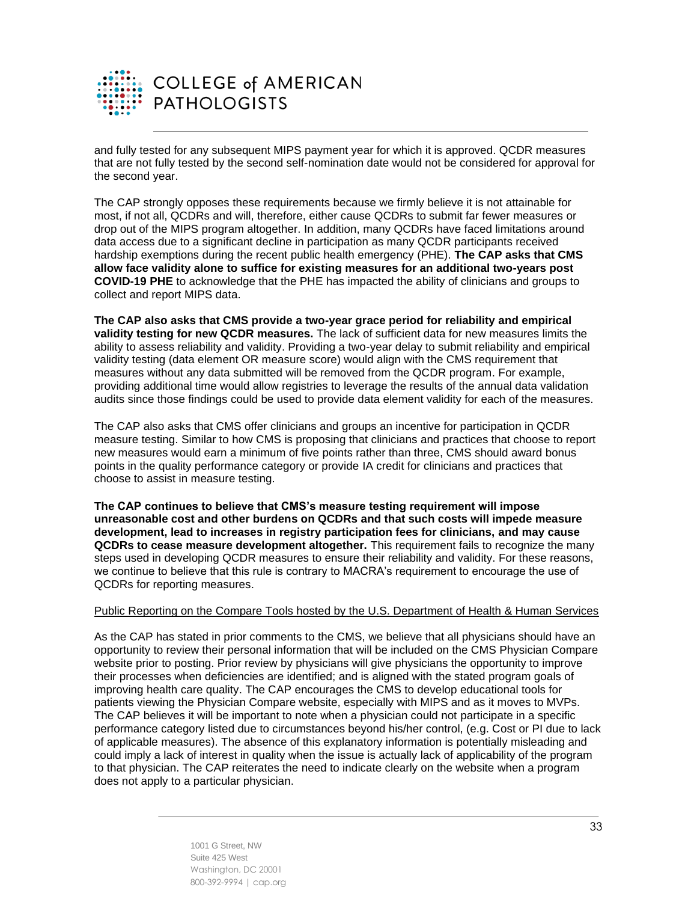

and fully tested for any subsequent MIPS payment year for which it is approved. QCDR measures that are not fully tested by the second self-nomination date would not be considered for approval for the second year.

The CAP strongly opposes these requirements because we firmly believe it is not attainable for most, if not all, QCDRs and will, therefore, either cause QCDRs to submit far fewer measures or drop out of the MIPS program altogether. In addition, many QCDRs have faced limitations around data access due to a significant decline in participation as many QCDR participants received hardship exemptions during the recent public health emergency (PHE). **The CAP asks that CMS allow face validity alone to suffice for existing measures for an additional two-years post COVID-19 PHE** to acknowledge that the PHE has impacted the ability of clinicians and groups to collect and report MIPS data.

**The CAP also asks that CMS provide a two-year grace period for reliability and empirical validity testing for new QCDR measures.** The lack of sufficient data for new measures limits the ability to assess reliability and validity. Providing a two-year delay to submit reliability and empirical validity testing (data element OR measure score) would align with the CMS requirement that measures without any data submitted will be removed from the QCDR program. For example, providing additional time would allow registries to leverage the results of the annual data validation audits since those findings could be used to provide data element validity for each of the measures.

The CAP also asks that CMS offer clinicians and groups an incentive for participation in QCDR measure testing. Similar to how CMS is proposing that clinicians and practices that choose to report new measures would earn a minimum of five points rather than three, CMS should award bonus points in the quality performance category or provide IA credit for clinicians and practices that choose to assist in measure testing.

**The CAP continues to believe that CMS's measure testing requirement will impose unreasonable cost and other burdens on QCDRs and that such costs will impede measure development, lead to increases in registry participation fees for clinicians, and may cause QCDRs to cease measure development altogether.** This requirement fails to recognize the many steps used in developing QCDR measures to ensure their reliability and validity. For these reasons, we continue to believe that this rule is contrary to MACRA's requirement to encourage the use of QCDRs for reporting measures.

#### Public Reporting on the Compare Tools hosted by the U.S. Department of Health & Human Services

As the CAP has stated in prior comments to the CMS, we believe that all physicians should have an opportunity to review their personal information that will be included on the CMS Physician Compare website prior to posting. Prior review by physicians will give physicians the opportunity to improve their processes when deficiencies are identified; and is aligned with the stated program goals of improving health care quality. The CAP encourages the CMS to develop educational tools for patients viewing the Physician Compare website, especially with MIPS and as it moves to MVPs. The CAP believes it will be important to note when a physician could not participate in a specific performance category listed due to circumstances beyond his/her control, (e.g. Cost or PI due to lack of applicable measures). The absence of this explanatory information is potentially misleading and could imply a lack of interest in quality when the issue is actually lack of applicability of the program to that physician. The CAP reiterates the need to indicate clearly on the website when a program does not apply to a particular physician.